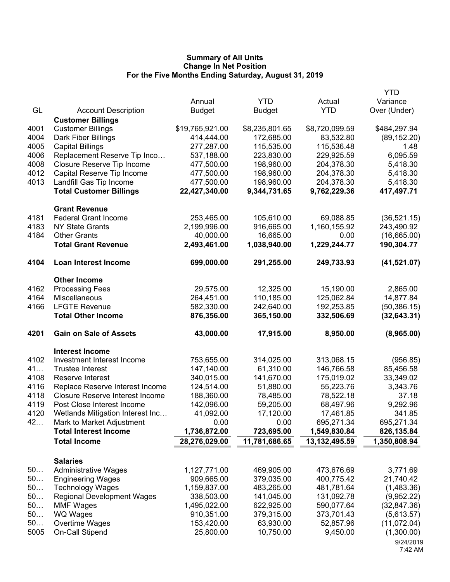|      |                                        |                 |                |                | <b>YTD</b>   |
|------|----------------------------------------|-----------------|----------------|----------------|--------------|
|      |                                        | Annual          | <b>YTD</b>     | Actual         | Variance     |
| GL   | <b>Account Description</b>             | <b>Budget</b>   | <b>Budget</b>  | <b>YTD</b>     | Over (Under) |
|      | <b>Customer Billings</b>               |                 |                |                |              |
| 4001 | <b>Customer Billings</b>               | \$19,765,921.00 | \$8,235,801.65 | \$8,720,099.59 | \$484,297.94 |
| 4004 | Dark Fiber Billings                    | 414,444.00      | 172,685.00     | 83,532.80      | (89, 152.20) |
| 4005 | <b>Capital Billings</b>                | 277,287.00      | 115,535.00     | 115,536.48     | 1.48         |
| 4006 | Replacement Reserve Tip Inco           | 537,188.00      | 223,830.00     | 229,925.59     | 6,095.59     |
| 4008 | Closure Reserve Tip Income             | 477,500.00      | 198,960.00     | 204,378.30     | 5,418.30     |
| 4012 | Capital Reserve Tip Income             | 477,500.00      | 198,960.00     | 204,378.30     | 5,418.30     |
| 4013 | Landfill Gas Tip Income                | 477,500.00      | 198,960.00     | 204,378.30     | 5,418.30     |
|      | <b>Total Customer Billings</b>         | 22,427,340.00   | 9,344,731.65   | 9,762,229.36   | 417,497.71   |
|      | <b>Grant Revenue</b>                   |                 |                |                |              |
| 4181 | <b>Federal Grant Income</b>            | 253,465.00      | 105,610.00     | 69,088.85      | (36,521.15)  |
| 4183 | <b>NY State Grants</b>                 | 2,199,996.00    | 916,665.00     | 1,160,155.92   | 243,490.92   |
| 4184 | <b>Other Grants</b>                    | 40,000.00       | 16,665.00      | 0.00           | (16,665.00)  |
|      | <b>Total Grant Revenue</b>             | 2,493,461.00    | 1,038,940.00   | 1,229,244.77   | 190,304.77   |
| 4104 | <b>Loan Interest Income</b>            | 699,000.00      | 291,255.00     | 249,733.93     | (41, 521.07) |
|      | <b>Other Income</b>                    |                 |                |                |              |
| 4162 | <b>Processing Fees</b>                 | 29,575.00       | 12,325.00      | 15,190.00      | 2,865.00     |
| 4164 | Miscellaneous                          | 264,451.00      | 110,185.00     | 125,062.84     | 14,877.84    |
| 4166 | <b>LFGTE Revenue</b>                   | 582,330.00      | 242,640.00     | 192,253.85     | (50, 386.15) |
|      | <b>Total Other Income</b>              | 876,356.00      | 365,150.00     | 332,506.69     | (32, 643.31) |
| 4201 | <b>Gain on Sale of Assets</b>          | 43,000.00       | 17,915.00      | 8,950.00       | (8,965.00)   |
|      | <b>Interest Income</b>                 |                 |                |                |              |
| 4102 | Investment Interest Income             | 753,655.00      | 314,025.00     | 313,068.15     | (956.85)     |
| 41   | <b>Trustee Interest</b>                | 147,140.00      | 61,310.00      | 146,766.58     | 85,456.58    |
| 4108 | Reserve Interest                       | 340,015.00      | 141,670.00     | 175,019.02     | 33,349.02    |
| 4116 | Replace Reserve Interest Income        | 124,514.00      | 51,880.00      | 55,223.76      | 3,343.76     |
| 4118 | <b>Closure Reserve Interest Income</b> | 188,360.00      | 78,485.00      | 78,522.18      | 37.18        |
| 4119 | Post Close Interest Income             | 142,096.00      | 59,205.00      | 68,497.96      | 9,292.96     |
| 4120 | Wetlands Mitigation Interest Inc       | 41,092.00       | 17,120.00      | 17,461.85      | 341.85       |
| 42   | Mark to Market Adjustment              | 0.00            | 0.00           | 695,271.34     | 695,271.34   |
|      | <b>Total Interest Income</b>           | 1,736,872.00    | 723,695.00     | 1,549,830.84   | 826,135.84   |
|      | <b>Total Income</b>                    | 28,276,029.00   | 11,781,686.65  | 13,132,495.59  | 1,350,808.94 |
|      | <b>Salaries</b>                        |                 |                |                |              |
| 50   | <b>Administrative Wages</b>            | 1,127,771.00    | 469,905.00     | 473,676.69     | 3,771.69     |
| 50   | <b>Engineering Wages</b>               | 909,665.00      | 379,035.00     | 400,775.42     | 21,740.42    |
| 50   | <b>Technology Wages</b>                | 1,159,837.00    | 483,265.00     | 481,781.64     | (1,483.36)   |
| 50   | <b>Regional Development Wages</b>      | 338,503.00      | 141,045.00     | 131,092.78     | (9,952.22)   |
| 50   | <b>MMF Wages</b>                       | 1,495,022.00    | 622,925.00     | 590,077.64     | (32, 847.36) |
| 50   | WQ Wages                               | 910,351.00      | 379,315.00     | 373,701.43     | (5,613.57)   |
| 50   | Overtime Wages                         | 153,420.00      | 63,930.00      | 52,857.96      | (11,072.04)  |
| 5005 | On-Call Stipend                        | 25,800.00       | 10,750.00      | 9,450.00       | (1,300.00)   |
|      |                                        |                 |                |                | 9/24/2019    |
|      |                                        |                 |                |                | 7:42 AM      |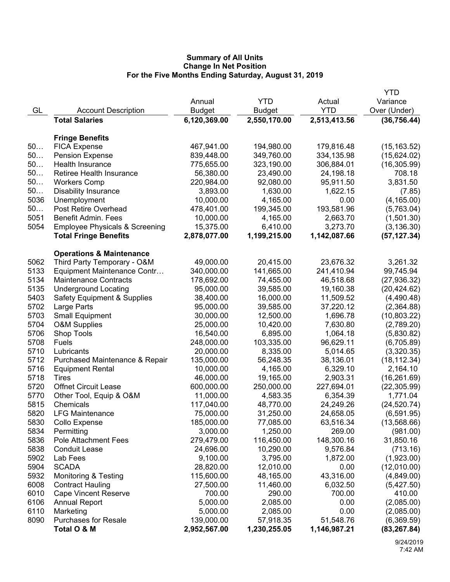|      |                                           |               |              |              | YTD          |
|------|-------------------------------------------|---------------|--------------|--------------|--------------|
|      |                                           | Annual        | <b>YTD</b>   | Actual       | Variance     |
| GL   | <b>Account Description</b>                | <b>Budget</b> | Budget       | <b>YTD</b>   | Over (Under) |
|      | <b>Total Salaries</b>                     | 6,120,369.00  | 2,550,170.00 | 2,513,413.56 | (36, 756.44) |
|      |                                           |               |              |              |              |
|      | <b>Fringe Benefits</b>                    |               |              |              |              |
| 50   | <b>FICA Expense</b>                       | 467,941.00    | 194,980.00   | 179,816.48   | (15, 163.52) |
| 50   | <b>Pension Expense</b>                    | 839,448.00    | 349,760.00   | 334,135.98   | (15,624.02)  |
| 50   | <b>Health Insurance</b>                   | 775,655.00    | 323,190.00   | 306,884.01   | (16, 305.99) |
| 50   | Retiree Health Insurance                  | 56,380.00     | 23,490.00    | 24,198.18    | 708.18       |
| 50   | <b>Workers Comp</b>                       | 220,984.00    | 92,080.00    | 95,911.50    | 3,831.50     |
| 50   | <b>Disability Insurance</b>               | 3,893.00      | 1,630.00     | 1,622.15     | (7.85)       |
| 5036 | Unemployment                              | 10,000.00     | 4,165.00     | 0.00         | (4, 165.00)  |
| 50   | Post Retire Overhead                      | 478,401.00    | 199,345.00   | 193,581.96   | (5,763.04)   |
| 5051 | <b>Benefit Admin. Fees</b>                | 10,000.00     | 4,165.00     | 2,663.70     | (1,501.30)   |
| 5054 | <b>Employee Physicals &amp; Screening</b> | 15,375.00     | 6,410.00     | 3,273.70     | (3, 136.30)  |
|      | <b>Total Fringe Benefits</b>              | 2,878,077.00  | 1,199,215.00 | 1,142,087.66 | (57, 127.34) |
|      | <b>Operations &amp; Maintenance</b>       |               |              |              |              |
| 5062 | Third Party Temporary - O&M               | 49,000.00     | 20,415.00    | 23,676.32    | 3,261.32     |
| 5133 | Equipment Maintenance Contr               | 340,000.00    | 141,665.00   | 241,410.94   | 99,745.94    |
| 5134 | <b>Maintenance Contracts</b>              | 178,692.00    | 74,455.00    | 46,518.68    | (27, 936.32) |
| 5135 | <b>Underground Locating</b>               | 95,000.00     | 39,585.00    | 19,160.38    | (20, 424.62) |
| 5403 | <b>Safety Equipment &amp; Supplies</b>    | 38,400.00     | 16,000.00    | 11,509.52    | (4,490.48)   |
| 5702 | Large Parts                               | 95,000.00     | 39,585.00    | 37,220.12    | (2,364.88)   |
| 5703 | <b>Small Equipment</b>                    | 30,000.00     | 12,500.00    | 1,696.78     | (10,803.22)  |
| 5704 | <b>O&amp;M Supplies</b>                   | 25,000.00     | 10,420.00    | 7,630.80     | (2,789.20)   |
| 5706 | Shop Tools                                | 16,540.00     | 6,895.00     | 1,064.18     | (5,830.82)   |
| 5708 | Fuels                                     | 248,000.00    | 103,335.00   | 96,629.11    | (6,705.89)   |
| 5710 | Lubricants                                | 20,000.00     | 8,335.00     | 5,014.65     | (3,320.35)   |
| 5712 | Purchased Maintenance & Repair            | 135,000.00    | 56,248.35    | 38,136.01    | (18, 112.34) |
| 5716 | <b>Equipment Rental</b>                   | 10,000.00     | 4,165.00     | 6,329.10     | 2,164.10     |
| 5718 | Tires                                     | 46,000.00     | 19,165.00    | 2,903.31     | (16, 261.69) |
| 5720 | <b>Offnet Circuit Lease</b>               | 600,000.00    | 250,000.00   | 227,694.01   | (22, 305.99) |
| 5770 | Other Tool, Equip & O&M                   | 11,000.00     | 4,583.35     | 6,354.39     | 1,771.04     |
| 5815 | Chemicals                                 | 117,040.00    | 48,770.00    | 24,249.26    | (24, 520.74) |
| 5820 | <b>LFG Maintenance</b>                    | 75,000.00     | 31,250.00    | 24,658.05    | (6,591.95)   |
| 5830 | Collo Expense                             | 185,000.00    | 77,085.00    | 63,516.34    | (13,568.66)  |
| 5834 | Permitting                                | 3,000.00      | 1,250.00     | 269.00       | (981.00)     |
| 5836 | Pole Attachment Fees                      | 279,479.00    | 116,450.00   | 148,300.16   | 31,850.16    |
| 5838 | <b>Conduit Lease</b>                      | 24,696.00     | 10,290.00    | 9,576.84     | (713.16)     |
| 5902 | Lab Fees                                  | 9,100.00      | 3,795.00     | 1,872.00     | (1,923.00)   |
| 5904 | <b>SCADA</b>                              | 28,820.00     | 12,010.00    | 0.00         | (12,010.00)  |
| 5932 | Monitoring & Testing                      | 115,600.00    | 48,165.00    | 43,316.00    | (4,849.00)   |
| 6008 | <b>Contract Hauling</b>                   | 27,500.00     | 11,460.00    | 6,032.50     | (5,427.50)   |
| 6010 | <b>Cape Vincent Reserve</b>               | 700.00        | 290.00       | 700.00       | 410.00       |
| 6106 | <b>Annual Report</b>                      | 5,000.00      | 2,085.00     | 0.00         | (2,085.00)   |
| 6110 | Marketing                                 | 5,000.00      | 2,085.00     | 0.00         | (2,085.00)   |
| 8090 | <b>Purchases for Resale</b>               | 139,000.00    | 57,918.35    | 51,548.76    | (6,369.59)   |
|      | Total O & M                               | 2,952,567.00  | 1,230,255.05 |              |              |
|      |                                           |               |              | 1,146,987.21 | (83, 267.84) |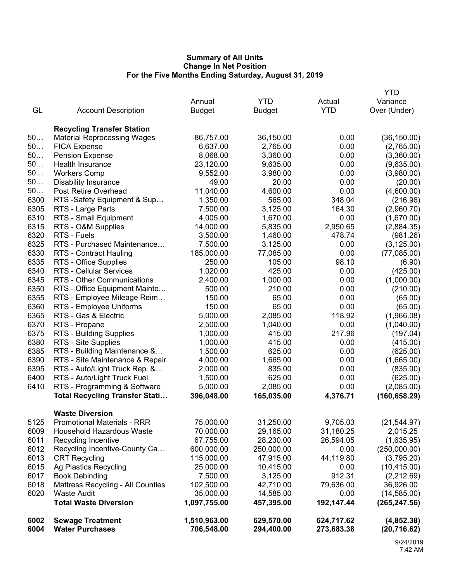| 50<br>50     | <b>FICA Expense</b><br><b>Pension Expense</b>               | 6,637.00<br>8,068.00   | 2,765.00<br>3,360.00   | 0.00<br>0.00 | (2,765.00)<br>(3,360.00)    |
|--------------|-------------------------------------------------------------|------------------------|------------------------|--------------|-----------------------------|
|              |                                                             |                        |                        |              |                             |
| 50           | Health Insurance                                            | 23,120.00              | 9,635.00               | 0.00         | (9,635.00)                  |
| 50           | <b>Workers Comp</b>                                         | 9,552.00               | 3,980.00               | 0.00         | (3,980.00)                  |
| 50           | <b>Disability Insurance</b>                                 | 49.00                  | 20.00                  | 0.00         | (20.00)                     |
| 50           | Post Retire Overhead                                        | 11,040.00              | 4,600.00               | 0.00         | (4,600.00)                  |
| 6300         | RTS -Safety Equipment & Sup                                 | 1,350.00               | 565.00                 | 348.04       | (216.96)                    |
| 6305         | RTS - Large Parts                                           | 7,500.00               | 3,125.00               | 164.30       | (2,960.70)                  |
| 6310         | RTS - Small Equipment                                       | 4,005.00               | 1,670.00               | 0.00         | (1,670.00)                  |
| 6315         | RTS - O&M Supplies                                          | 14,000.00              | 5,835.00               | 2,950.65     | (2,884.35)                  |
| 6320         | RTS - Fuels                                                 | 3,500.00               | 1,460.00               | 478.74       | (981.26)                    |
| 6325         | RTS - Purchased Maintenance                                 | 7,500.00               | 3,125.00               | 0.00         | (3, 125.00)                 |
| 6330         | <b>RTS - Contract Hauling</b>                               | 185,000.00             | 77,085.00              | 0.00         | (77,085.00)                 |
| 6335         | RTS - Office Supplies                                       | 250.00                 | 105.00                 | 98.10        | (6.90)                      |
| 6340         | <b>RTS - Cellular Services</b>                              | 1,020.00               | 425.00                 | 0.00         | (425.00)                    |
| 6345         | RTS - Other Communications                                  | 2,400.00               | 1,000.00               | 0.00         | (1,000.00)                  |
| 6350         | RTS - Office Equipment Mainte                               | 500.00                 | 210.00                 | 0.00         | (210.00)                    |
| 6355         | RTS - Employee Mileage Reim                                 | 150.00                 | 65.00                  | 0.00         | (65.00)                     |
| 6360         | RTS - Employee Uniforms                                     | 150.00                 | 65.00                  | 0.00         | (65.00)                     |
| 6365         | RTS - Gas & Electric                                        | 5,000.00               | 2,085.00               | 118.92       | (1,966.08)                  |
| 6370         | RTS - Propane                                               | 2,500.00               | 1,040.00               | 0.00         | (1,040.00)                  |
| 6375         | RTS - Building Supplies                                     | 1,000.00               | 415.00                 | 217.96       | (197.04)                    |
| 6380         | RTS - Site Supplies                                         | 1,000.00               | 415.00                 | 0.00         | (415.00)                    |
| 6385<br>6390 | RTS - Building Maintenance &                                | 1,500.00               | 625.00                 | 0.00<br>0.00 | (625.00)                    |
| 6395         | RTS - Site Maintenance & Repair                             | 4,000.00               | 1,665.00               | 0.00         | (1,665.00)                  |
| 6400         | RTS - Auto/Light Truck Rep. &                               | 2,000.00               | 835.00                 | 0.00         | (835.00)                    |
| 6410         | RTS - Auto/Light Truck Fuel<br>RTS - Programming & Software | 1,500.00               | 625.00                 | 0.00         | (625.00)                    |
|              | <b>Total Recycling Transfer Stati</b>                       | 5,000.00<br>396,048.00 | 2,085.00<br>165,035.00 | 4,376.71     | (2,085.00)<br>(160, 658.29) |
|              |                                                             |                        |                        |              |                             |
|              | <b>Waste Diversion</b>                                      |                        |                        |              |                             |
| 5125         | <b>Promotional Materials - RRR</b>                          | 75,000.00              | 31,250.00              | 9,705.03     | (21, 544.97)                |
| 6009         | Household Hazardous Waste                                   | 70,000.00              | 29,165.00              | 31,180.25    | 2,015.25                    |
| 6011         | Recycling Incentive                                         | 67,755.00              | 28,230.00              | 26,594.05    | (1,635.95)                  |
| 6012         | Recycling Incentive-County Ca                               | 600,000.00             | 250,000.00             | 0.00         | (250,000.00)                |
| 6013         | <b>CRT Recycling</b>                                        | 115,000.00             | 47,915.00              | 44,119.80    | (3,795.20)                  |
| 6015         | Ag Plastics Recycling                                       | 25,000.00              | 10,415.00              | 0.00         | (10, 415.00)                |
| 6017         | <b>Book Debinding</b>                                       | 7,500.00               | 3,125.00               | 912.31       | (2,212.69)                  |
| 6018         | <b>Mattress Recycling - All Counties</b>                    | 102,500.00             | 42,710.00              | 79,636.00    | 36,926.00                   |
| 6020         | <b>Waste Audit</b>                                          | 35,000.00              | 14,585.00              | 0.00         | (14, 585.00)                |
|              | <b>Total Waste Diversion</b>                                | 1,097,755.00           | 457,395.00             | 192,147.44   | (265, 247.56)               |
| 6002         | <b>Sewage Treatment</b>                                     | 1,510,963.00           | 629,570.00             | 624,717.62   | (4,852.38)                  |
| 6004         | <b>Water Purchases</b>                                      | 706,548.00             | 294,400.00             | 273,683.38   | (20, 716.62)                |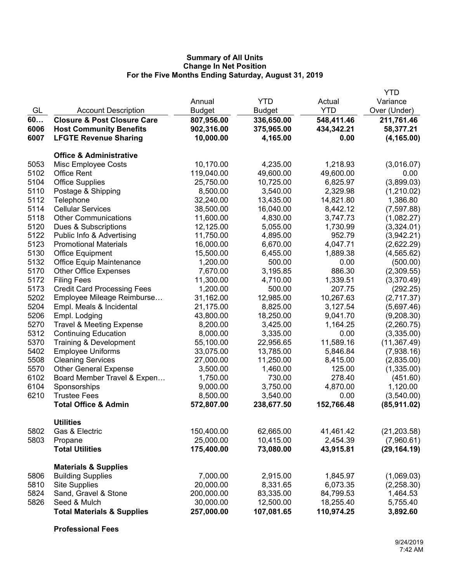|      |                                        |               |               |            | <b>YTD</b>   |
|------|----------------------------------------|---------------|---------------|------------|--------------|
|      |                                        | Annual        | <b>YTD</b>    | Actual     | Variance     |
| GL   | <b>Account Description</b>             | <b>Budget</b> | <b>Budget</b> | <b>YTD</b> | Over (Under) |
| 60   | <b>Closure &amp; Post Closure Care</b> | 807,956.00    | 336,650.00    | 548,411.46 | 211,761.46   |
| 6006 | <b>Host Community Benefits</b>         | 902,316.00    | 375,965.00    | 434,342.21 | 58,377.21    |
| 6007 | <b>LFGTE Revenue Sharing</b>           | 10,000.00     | 4,165.00      | 0.00       | (4, 165.00)  |
|      | <b>Office &amp; Administrative</b>     |               |               |            |              |
| 5053 | Misc Employee Costs                    | 10,170.00     | 4,235.00      | 1,218.93   | (3,016.07)   |
| 5102 | <b>Office Rent</b>                     | 119,040.00    | 49,600.00     | 49,600.00  | 0.00         |
| 5104 | <b>Office Supplies</b>                 | 25,750.00     | 10,725.00     | 6,825.97   | (3,899.03)   |
| 5110 | Postage & Shipping                     | 8,500.00      | 3,540.00      | 2,329.98   | (1,210.02)   |
| 5112 | Telephone                              | 32,240.00     | 13,435.00     | 14,821.80  | 1,386.80     |
| 5114 | <b>Cellular Services</b>               | 38,500.00     | 16,040.00     | 8,442.12   | (7, 597.88)  |
| 5118 | <b>Other Communications</b>            | 11,600.00     | 4,830.00      | 3,747.73   | (1,082.27)   |
| 5120 | Dues & Subscriptions                   | 12,125.00     | 5,055.00      | 1,730.99   | (3,324.01)   |
| 5122 | Public Info & Advertising              | 11,750.00     | 4,895.00      | 952.79     | (3,942.21)   |
| 5123 | <b>Promotional Materials</b>           | 16,000.00     | 6,670.00      | 4,047.71   | (2,622.29)   |
| 5130 | <b>Office Equipment</b>                | 15,500.00     | 6,455.00      | 1,889.38   | (4, 565.62)  |
| 5132 | <b>Office Equip Maintenance</b>        | 1,200.00      | 500.00        | 0.00       | (500.00)     |
| 5170 | <b>Other Office Expenses</b>           | 7,670.00      | 3,195.85      | 886.30     | (2,309.55)   |
| 5172 | <b>Filing Fees</b>                     | 11,300.00     | 4,710.00      | 1,339.51   | (3,370.49)   |
| 5173 | <b>Credit Card Processing Fees</b>     | 1,200.00      | 500.00        | 207.75     | (292.25)     |
| 5202 | Employee Mileage Reimburse             | 31,162.00     | 12,985.00     | 10,267.63  | (2,717.37)   |
| 5204 | Empl. Meals & Incidental               | 21,175.00     | 8,825.00      | 3,127.54   | (5,697.46)   |
| 5206 | Empl. Lodging                          | 43,800.00     | 18,250.00     | 9,041.70   | (9,208.30)   |
| 5270 | <b>Travel &amp; Meeting Expense</b>    | 8,200.00      | 3,425.00      | 1,164.25   | (2,260.75)   |
| 5312 | <b>Continuing Education</b>            | 8,000.00      | 3,335.00      | 0.00       | (3,335.00)   |
| 5370 | Training & Development                 | 55,100.00     | 22,956.65     | 11,589.16  | (11, 367.49) |
| 5402 | <b>Employee Uniforms</b>               | 33,075.00     | 13,785.00     | 5,846.84   | (7,938.16)   |
| 5508 | <b>Cleaning Services</b>               | 27,000.00     | 11,250.00     | 8,415.00   | (2,835.00)   |
| 5570 | <b>Other General Expense</b>           | 3,500.00      | 1,460.00      | 125.00     | (1,335.00)   |
| 6102 | Board Member Travel & Expen            | 1,750.00      | 730.00        | 278.40     | (451.60)     |
| 6104 | Sponsorships                           | 9,000.00      | 3,750.00      | 4,870.00   | 1,120.00     |
| 6210 | <b>Trustee Fees</b>                    | 8,500.00      | 3,540.00      | 0.00       | (3,540.00)   |
|      | <b>Total Office &amp; Admin</b>        | 572,807.00    | 238,677.50    | 152,766.48 | (85, 911.02) |
|      | <b>Utilities</b>                       |               |               |            |              |
| 5802 | Gas & Electric                         | 150,400.00    | 62,665.00     | 41,461.42  | (21, 203.58) |
| 5803 | Propane                                | 25,000.00     | 10,415.00     | 2,454.39   | (7,960.61)   |
|      | <b>Total Utilities</b>                 | 175,400.00    | 73,080.00     | 43,915.81  | (29, 164.19) |
|      | <b>Materials &amp; Supplies</b>        |               |               |            |              |
| 5806 | <b>Building Supplies</b>               | 7,000.00      | 2,915.00      | 1,845.97   | (1,069.03)   |
| 5810 | <b>Site Supplies</b>                   | 20,000.00     | 8,331.65      | 6,073.35   | (2,258.30)   |
| 5824 | Sand, Gravel & Stone                   | 200,000.00    | 83,335.00     | 84,799.53  | 1,464.53     |
| 5826 | Seed & Mulch                           | 30,000.00     | 12,500.00     | 18,255.40  | 5,755.40     |
|      | <b>Total Materials &amp; Supplies</b>  | 257,000.00    | 107,081.65    | 110,974.25 | 3,892.60     |

**Professional Fees**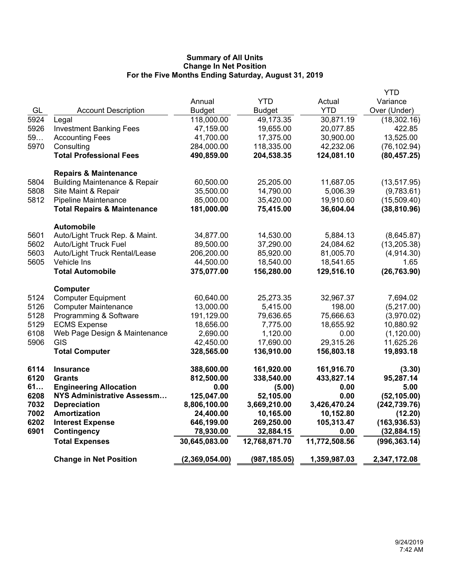|                                          |                                                                                                                                                                                                                                                                                                                                                                                                                                                                                                                           |                                                                                                                                                                                                                                                                              |                                                                                                                                                                                                                                                                           | <b>YTD</b>                                                                                                                                                                                                                             |
|------------------------------------------|---------------------------------------------------------------------------------------------------------------------------------------------------------------------------------------------------------------------------------------------------------------------------------------------------------------------------------------------------------------------------------------------------------------------------------------------------------------------------------------------------------------------------|------------------------------------------------------------------------------------------------------------------------------------------------------------------------------------------------------------------------------------------------------------------------------|---------------------------------------------------------------------------------------------------------------------------------------------------------------------------------------------------------------------------------------------------------------------------|----------------------------------------------------------------------------------------------------------------------------------------------------------------------------------------------------------------------------------------|
|                                          | Annual                                                                                                                                                                                                                                                                                                                                                                                                                                                                                                                    | <b>YTD</b>                                                                                                                                                                                                                                                                   | Actual                                                                                                                                                                                                                                                                    | Variance                                                                                                                                                                                                                               |
|                                          |                                                                                                                                                                                                                                                                                                                                                                                                                                                                                                                           |                                                                                                                                                                                                                                                                              | <b>YTD</b>                                                                                                                                                                                                                                                                | Over (Under)                                                                                                                                                                                                                           |
|                                          |                                                                                                                                                                                                                                                                                                                                                                                                                                                                                                                           |                                                                                                                                                                                                                                                                              |                                                                                                                                                                                                                                                                           | (18, 302.16)                                                                                                                                                                                                                           |
|                                          |                                                                                                                                                                                                                                                                                                                                                                                                                                                                                                                           |                                                                                                                                                                                                                                                                              |                                                                                                                                                                                                                                                                           | 422.85                                                                                                                                                                                                                                 |
|                                          |                                                                                                                                                                                                                                                                                                                                                                                                                                                                                                                           |                                                                                                                                                                                                                                                                              |                                                                                                                                                                                                                                                                           | 13,525.00                                                                                                                                                                                                                              |
|                                          |                                                                                                                                                                                                                                                                                                                                                                                                                                                                                                                           |                                                                                                                                                                                                                                                                              |                                                                                                                                                                                                                                                                           | (76, 102.94)                                                                                                                                                                                                                           |
| <b>Total Professional Fees</b>           | 490,859.00                                                                                                                                                                                                                                                                                                                                                                                                                                                                                                                | 204,538.35                                                                                                                                                                                                                                                                   | 124,081.10                                                                                                                                                                                                                                                                | (80, 457.25)                                                                                                                                                                                                                           |
| <b>Repairs &amp; Maintenance</b>         |                                                                                                                                                                                                                                                                                                                                                                                                                                                                                                                           |                                                                                                                                                                                                                                                                              |                                                                                                                                                                                                                                                                           |                                                                                                                                                                                                                                        |
| <b>Building Maintenance &amp; Repair</b> | 60,500.00                                                                                                                                                                                                                                                                                                                                                                                                                                                                                                                 | 25,205.00                                                                                                                                                                                                                                                                    | 11,687.05                                                                                                                                                                                                                                                                 | (13, 517.95)                                                                                                                                                                                                                           |
| Site Maint & Repair                      | 35,500.00                                                                                                                                                                                                                                                                                                                                                                                                                                                                                                                 | 14,790.00                                                                                                                                                                                                                                                                    | 5,006.39                                                                                                                                                                                                                                                                  | (9,783.61)                                                                                                                                                                                                                             |
| Pipeline Maintenance                     | 85,000.00                                                                                                                                                                                                                                                                                                                                                                                                                                                                                                                 | 35,420.00                                                                                                                                                                                                                                                                    | 19,910.60                                                                                                                                                                                                                                                                 | (15,509.40)                                                                                                                                                                                                                            |
| <b>Total Repairs &amp; Maintenance</b>   | 181,000.00                                                                                                                                                                                                                                                                                                                                                                                                                                                                                                                | 75,415.00                                                                                                                                                                                                                                                                    | 36,604.04                                                                                                                                                                                                                                                                 | (38, 810.96)                                                                                                                                                                                                                           |
| <b>Automobile</b>                        |                                                                                                                                                                                                                                                                                                                                                                                                                                                                                                                           |                                                                                                                                                                                                                                                                              |                                                                                                                                                                                                                                                                           |                                                                                                                                                                                                                                        |
| Auto/Light Truck Rep. & Maint.           | 34,877.00                                                                                                                                                                                                                                                                                                                                                                                                                                                                                                                 | 14,530.00                                                                                                                                                                                                                                                                    | 5,884.13                                                                                                                                                                                                                                                                  | (8,645.87)                                                                                                                                                                                                                             |
| Auto/Light Truck Fuel                    | 89,500.00                                                                                                                                                                                                                                                                                                                                                                                                                                                                                                                 | 37,290.00                                                                                                                                                                                                                                                                    | 24,084.62                                                                                                                                                                                                                                                                 | (13, 205.38)                                                                                                                                                                                                                           |
| Auto/Light Truck Rental/Lease            | 206,200.00                                                                                                                                                                                                                                                                                                                                                                                                                                                                                                                | 85,920.00                                                                                                                                                                                                                                                                    | 81,005.70                                                                                                                                                                                                                                                                 | (4,914.30)                                                                                                                                                                                                                             |
|                                          | 44,500.00                                                                                                                                                                                                                                                                                                                                                                                                                                                                                                                 | 18,540.00                                                                                                                                                                                                                                                                    | 18,541.65                                                                                                                                                                                                                                                                 | 1.65                                                                                                                                                                                                                                   |
| <b>Total Automobile</b>                  | 375,077.00                                                                                                                                                                                                                                                                                                                                                                                                                                                                                                                | 156,280.00                                                                                                                                                                                                                                                                   | 129,516.10                                                                                                                                                                                                                                                                | (26, 763.90)                                                                                                                                                                                                                           |
| Computer                                 |                                                                                                                                                                                                                                                                                                                                                                                                                                                                                                                           |                                                                                                                                                                                                                                                                              |                                                                                                                                                                                                                                                                           |                                                                                                                                                                                                                                        |
|                                          |                                                                                                                                                                                                                                                                                                                                                                                                                                                                                                                           |                                                                                                                                                                                                                                                                              |                                                                                                                                                                                                                                                                           | 7,694.02                                                                                                                                                                                                                               |
|                                          |                                                                                                                                                                                                                                                                                                                                                                                                                                                                                                                           |                                                                                                                                                                                                                                                                              |                                                                                                                                                                                                                                                                           | (5,217.00)                                                                                                                                                                                                                             |
|                                          |                                                                                                                                                                                                                                                                                                                                                                                                                                                                                                                           |                                                                                                                                                                                                                                                                              |                                                                                                                                                                                                                                                                           | (3,970.02)                                                                                                                                                                                                                             |
|                                          |                                                                                                                                                                                                                                                                                                                                                                                                                                                                                                                           |                                                                                                                                                                                                                                                                              |                                                                                                                                                                                                                                                                           | 10,880.92                                                                                                                                                                                                                              |
|                                          |                                                                                                                                                                                                                                                                                                                                                                                                                                                                                                                           |                                                                                                                                                                                                                                                                              |                                                                                                                                                                                                                                                                           | (1, 120.00)                                                                                                                                                                                                                            |
|                                          |                                                                                                                                                                                                                                                                                                                                                                                                                                                                                                                           |                                                                                                                                                                                                                                                                              |                                                                                                                                                                                                                                                                           | 11,625.26                                                                                                                                                                                                                              |
|                                          |                                                                                                                                                                                                                                                                                                                                                                                                                                                                                                                           |                                                                                                                                                                                                                                                                              |                                                                                                                                                                                                                                                                           | 19,893.18                                                                                                                                                                                                                              |
| <b>Insurance</b>                         | 388,600.00                                                                                                                                                                                                                                                                                                                                                                                                                                                                                                                | 161,920.00                                                                                                                                                                                                                                                                   | 161,916.70                                                                                                                                                                                                                                                                | (3.30)                                                                                                                                                                                                                                 |
|                                          |                                                                                                                                                                                                                                                                                                                                                                                                                                                                                                                           |                                                                                                                                                                                                                                                                              |                                                                                                                                                                                                                                                                           | 95,287.14                                                                                                                                                                                                                              |
|                                          |                                                                                                                                                                                                                                                                                                                                                                                                                                                                                                                           |                                                                                                                                                                                                                                                                              |                                                                                                                                                                                                                                                                           | 5.00                                                                                                                                                                                                                                   |
|                                          |                                                                                                                                                                                                                                                                                                                                                                                                                                                                                                                           |                                                                                                                                                                                                                                                                              |                                                                                                                                                                                                                                                                           | (52, 105.00)                                                                                                                                                                                                                           |
|                                          |                                                                                                                                                                                                                                                                                                                                                                                                                                                                                                                           |                                                                                                                                                                                                                                                                              |                                                                                                                                                                                                                                                                           | (242, 739.76)                                                                                                                                                                                                                          |
|                                          |                                                                                                                                                                                                                                                                                                                                                                                                                                                                                                                           |                                                                                                                                                                                                                                                                              |                                                                                                                                                                                                                                                                           | (12.20)                                                                                                                                                                                                                                |
|                                          |                                                                                                                                                                                                                                                                                                                                                                                                                                                                                                                           |                                                                                                                                                                                                                                                                              |                                                                                                                                                                                                                                                                           | (163, 936.53)                                                                                                                                                                                                                          |
|                                          |                                                                                                                                                                                                                                                                                                                                                                                                                                                                                                                           |                                                                                                                                                                                                                                                                              |                                                                                                                                                                                                                                                                           | (32,884.15)                                                                                                                                                                                                                            |
|                                          |                                                                                                                                                                                                                                                                                                                                                                                                                                                                                                                           |                                                                                                                                                                                                                                                                              |                                                                                                                                                                                                                                                                           | (996, 363.14)                                                                                                                                                                                                                          |
| <b>Change in Net Position</b>            | (2,369,054.00)                                                                                                                                                                                                                                                                                                                                                                                                                                                                                                            | (987, 185.05)                                                                                                                                                                                                                                                                | 1,359,987.03                                                                                                                                                                                                                                                              | 2,347,172.08                                                                                                                                                                                                                           |
|                                          | <b>Account Description</b><br>Legal<br><b>Investment Banking Fees</b><br><b>Accounting Fees</b><br>Consulting<br>Vehicle Ins<br><b>Computer Equipment</b><br><b>Computer Maintenance</b><br>Programming & Software<br><b>ECMS Expense</b><br>Web Page Design & Maintenance<br><b>GIS</b><br><b>Total Computer</b><br><b>Grants</b><br><b>Engineering Allocation</b><br>NYS Administrative Assessm<br><b>Depreciation</b><br><b>Amortization</b><br><b>Interest Expense</b><br><b>Contingency</b><br><b>Total Expenses</b> | <b>Budget</b><br>118,000.00<br>47,159.00<br>41,700.00<br>284,000.00<br>60,640.00<br>13,000.00<br>191,129.00<br>18,656.00<br>2,690.00<br>42,450.00<br>328,565.00<br>812,500.00<br>0.00<br>125,047.00<br>8,806,100.00<br>24,400.00<br>646,199.00<br>78,930.00<br>30,645,083.00 | <b>Budget</b><br>49,173.35<br>19,655.00<br>17,375.00<br>118,335.00<br>25,273.35<br>5,415.00<br>79,636.65<br>7,775.00<br>1,120.00<br>17,690.00<br>136,910.00<br>338,540.00<br>(5.00)<br>52,105.00<br>3,669,210.00<br>10,165.00<br>269,250.00<br>32,884.15<br>12,768,871.70 | 30,871.19<br>20,077.85<br>30,900.00<br>42,232.06<br>32,967.37<br>198.00<br>75,666.63<br>18,655.92<br>0.00<br>29,315.26<br>156,803.18<br>433,827.14<br>0.00<br>0.00<br>3,426,470.24<br>10,152.80<br>105,313.47<br>0.00<br>11,772,508.56 |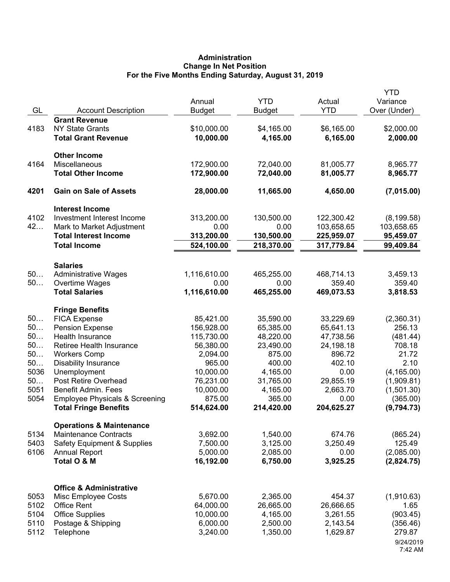# **Administration Change In Net Position For the Five Months Ending Saturday, August 31, 2019**

| GL   | <b>Account Description</b>                          | Annual<br><b>Budget</b>  | <b>YTD</b><br><b>Budget</b> | Actual<br><b>YTD</b>     | <b>YTD</b><br>Variance<br>Over (Under) |
|------|-----------------------------------------------------|--------------------------|-----------------------------|--------------------------|----------------------------------------|
|      | <b>Grant Revenue</b>                                |                          |                             |                          |                                        |
| 4183 | <b>NY State Grants</b>                              | \$10,000.00              | \$4,165.00                  | \$6,165.00               | \$2,000.00                             |
|      | <b>Total Grant Revenue</b>                          | 10,000.00                | 4,165.00                    | 6,165.00                 | 2,000.00                               |
|      | <b>Other Income</b>                                 |                          |                             |                          |                                        |
| 4164 | Miscellaneous                                       | 172,900.00               | 72,040.00                   | 81,005.77                | 8,965.77                               |
|      | <b>Total Other Income</b>                           | 172,900.00               | 72,040.00                   | 81,005.77                | 8,965.77                               |
| 4201 | <b>Gain on Sale of Assets</b>                       | 28,000.00                | 11,665.00                   | 4,650.00                 | (7,015.00)                             |
|      | <b>Interest Income</b>                              |                          |                             |                          |                                        |
| 4102 | Investment Interest Income                          | 313,200.00               | 130,500.00                  | 122,300.42               | (8, 199.58)                            |
| 42   | Mark to Market Adjustment                           | 0.00                     | 0.00                        | 103,658.65               | 103,658.65                             |
|      | <b>Total Interest Income</b><br><b>Total Income</b> | 313,200.00<br>524,100.00 | 130,500.00<br>218,370.00    | 225,959.07<br>317,779.84 | 95,459.07<br>99,409.84                 |
|      |                                                     |                          |                             |                          |                                        |
| 50   | <b>Salaries</b>                                     |                          | 465,255.00                  |                          |                                        |
| 50   | <b>Administrative Wages</b><br>Overtime Wages       | 1,116,610.00<br>0.00     | 0.00                        | 468,714.13<br>359.40     | 3,459.13<br>359.40                     |
|      | <b>Total Salaries</b>                               | 1,116,610.00             | 465,255.00                  | 469,073.53               | 3,818.53                               |
|      |                                                     |                          |                             |                          |                                        |
| 50   | <b>Fringe Benefits</b><br><b>FICA Expense</b>       | 85,421.00                | 35,590.00                   | 33,229.69                | (2,360.31)                             |
| 50   | <b>Pension Expense</b>                              | 156,928.00               | 65,385.00                   | 65,641.13                | 256.13                                 |
| 50   | Health Insurance                                    | 115,730.00               | 48,220.00                   | 47,738.56                | (481.44)                               |
| 50   | Retiree Health Insurance                            | 56,380.00                | 23,490.00                   | 24,198.18                | 708.18                                 |
| 50   | <b>Workers Comp</b>                                 | 2,094.00                 | 875.00                      | 896.72                   | 21.72                                  |
| 50   | <b>Disability Insurance</b>                         | 965.00                   | 400.00                      | 402.10                   | 2.10                                   |
| 5036 | Unemployment                                        | 10,000.00                | 4,165.00                    | 0.00                     | (4, 165.00)                            |
| 50   | Post Retire Overhead                                | 76,231.00                | 31,765.00                   | 29,855.19                | (1,909.81)                             |
| 5051 | <b>Benefit Admin. Fees</b>                          | 10,000.00                | 4,165.00                    | 2,663.70                 | (1,501.30)                             |
| 5054 | <b>Employee Physicals &amp; Screening</b>           | 875.00                   | 365.00                      | 0.00                     | (365.00)                               |
|      | <b>Total Fringe Benefits</b>                        | 514,624.00               | 214,420.00                  | 204,625.27               | (9,794.73)                             |
|      | <b>Operations &amp; Maintenance</b>                 |                          |                             |                          |                                        |
| 5134 | <b>Maintenance Contracts</b>                        | 3,692.00                 | 1,540.00                    | 674.76                   | (865.24)                               |
| 5403 | <b>Safety Equipment &amp; Supplies</b>              | 7,500.00                 | 3,125.00                    | 3,250.49                 | 125.49                                 |
| 6106 | <b>Annual Report</b>                                | 5,000.00                 | 2,085.00                    | 0.00                     | (2,085.00)                             |
|      | Total O & M                                         | 16,192.00                | 6,750.00                    | 3,925.25                 | (2,824.75)                             |
|      | <b>Office &amp; Administrative</b>                  |                          |                             |                          |                                        |
| 5053 | Misc Employee Costs                                 | 5,670.00                 | 2,365.00                    | 454.37                   | (1,910.63)                             |
| 5102 | <b>Office Rent</b>                                  | 64,000.00                | 26,665.00                   | 26,666.65                | 1.65                                   |
| 5104 | <b>Office Supplies</b>                              | 10,000.00                | 4,165.00                    | 3,261.55                 | (903.45)                               |
| 5110 | Postage & Shipping                                  | 6,000.00                 | 2,500.00                    | 2,143.54                 | (356.46)                               |
| 5112 | Telephone                                           | 3,240.00                 | 1,350.00                    | 1,629.87                 | 279.87                                 |
|      |                                                     |                          |                             |                          | 9/24/2019                              |
|      |                                                     |                          |                             |                          | 7:42 AM                                |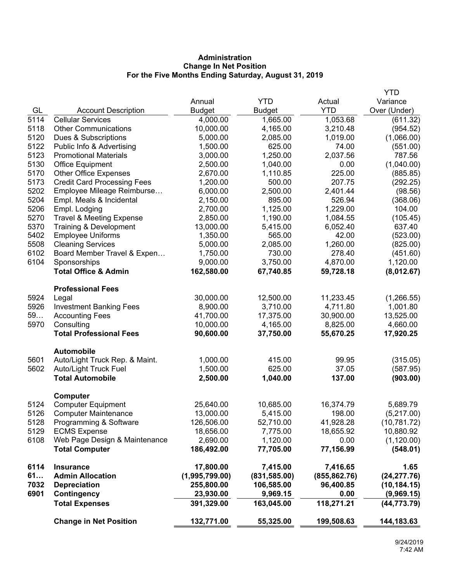# **Administration Change In Net Position For the Five Months Ending Saturday, August 31, 2019**

|              | <b>Change in Net Position</b>                            | 132,771.00            | 55,325.00             | 199,508.63            | 144,183.63            |
|--------------|----------------------------------------------------------|-----------------------|-----------------------|-----------------------|-----------------------|
|              | <b>Total Expenses</b>                                    | 391,329.00            | 163,045.00            | 118,271.21            | (44, 773.79)          |
| 6901         | Contingency                                              | 23,930.00             | 9,969.15              | 0.00                  | (9,969.15)            |
| 7032         | <b>Depreciation</b>                                      | 255,800.00            | 106,585.00            | 96,400.85             | (10, 184.15)          |
| 61           | <b>Admin Allocation</b>                                  | (1,995,799.00)        | (831, 585.00)         | (855, 862.76)         | (24, 277.76)          |
| 6114         | <b>Insurance</b>                                         | 17,800.00             | 7,415.00              | 7,416.65              | 1.65                  |
|              | <b>Total Computer</b>                                    | 186,492.00            | 77,705.00             | 77,156.99             | (548.01)              |
| 6108         | Web Page Design & Maintenance                            | 2,690.00              | 1,120.00              | 0.00                  | (1, 120.00)           |
| 5129         | <b>ECMS Expense</b>                                      | 18,656.00             | 7,775.00              | 18,655.92             | 10,880.92             |
| 5128         | Programming & Software                                   | 126,506.00            | 52,710.00             | 41,928.28             | (10, 781.72)          |
| 5126         | <b>Computer Maintenance</b>                              | 13,000.00             | 5,415.00              | 198.00                | (5,217.00)            |
| 5124         | <b>Computer Equipment</b>                                | 25,640.00             | 10,685.00             | 16,374.79             | 5,689.79              |
|              | <b>Computer</b>                                          |                       |                       |                       |                       |
|              | <b>Total Automobile</b>                                  | 2,500.00              | 1,040.00              | 137.00                | (903.00)              |
| 5602         | Auto/Light Truck Fuel                                    | 1,500.00              | 625.00                | 37.05                 | (587.95)              |
| 5601         | Auto/Light Truck Rep. & Maint.                           | 1,000.00              | 415.00                | 99.95                 | (315.05)              |
|              | <b>Automobile</b>                                        |                       |                       |                       |                       |
|              | <b>Total Professional Fees</b>                           | 90,600.00             | 37,750.00             | 55,670.25             | 17,920.25             |
| 5970         | Consulting                                               | 10,000.00             | 4,165.00              | 8,825.00              | 4,660.00              |
| 59           | <b>Investment Banking Fees</b><br><b>Accounting Fees</b> | 41,700.00             | 17,375.00             | 30,900.00             | 1,001.80<br>13,525.00 |
| 5924<br>5926 | Legal                                                    | 30,000.00<br>8,900.00 | 12,500.00<br>3,710.00 | 11,233.45<br>4,711.80 | (1,266.55)            |
|              | <b>Professional Fees</b>                                 |                       |                       |                       |                       |
|              | <b>Total Office &amp; Admin</b>                          | 162,580.00            | 67,740.85             | 59,728.18             | (8,012.67)            |
| 6104         | Sponsorships                                             | 9,000.00              | 3,750.00              | 4,870.00              | 1,120.00              |
| 6102         | Board Member Travel & Expen                              | 1,750.00              | 730.00                | 278.40                | (451.60)              |
| 5508         | <b>Cleaning Services</b>                                 | 5,000.00              | 2,085.00              | 1,260.00              | (825.00)              |
| 5402         | <b>Employee Uniforms</b>                                 | 1,350.00              | 565.00                | 42.00                 | (523.00)              |
| 5370         | Training & Development                                   | 13,000.00             | 5,415.00              | 6,052.40              | 637.40                |
| 5270         | <b>Travel &amp; Meeting Expense</b>                      | 2,850.00              | 1,190.00              | 1,084.55              | (105.45)              |
| 5206         | Empl. Lodging                                            | 2,700.00              | 1,125.00              | 1,229.00              | 104.00                |
| 5204         | Empl. Meals & Incidental                                 | 2,150.00              | 895.00                | 526.94                | (368.06)              |
| 5202         | Employee Mileage Reimburse                               | 6,000.00              | 2,500.00              | 2,401.44              | (98.56)               |
| 5173         | <b>Credit Card Processing Fees</b>                       | 1,200.00              | 500.00                | 207.75                | (292.25)              |
| 5170         | <b>Office Equipment</b><br><b>Other Office Expenses</b>  | 2,670.00              | 1,110.85              | 225.00                | (885.85)              |
| 5123<br>5130 | <b>Promotional Materials</b>                             | 3,000.00<br>2,500.00  | 1,250.00<br>1,040.00  | 2,037.56<br>0.00      | 787.56<br>(1,040.00)  |
| 5122         | Public Info & Advertising                                | 1,500.00              | 625.00                | 74.00                 | (551.00)              |
| 5120         | Dues & Subscriptions                                     | 5,000.00              | 2,085.00              | 1,019.00              | (1,066.00)            |
| 5118         | <b>Other Communications</b>                              | 10,000.00             | 4,165.00              | 3,210.48              | (954.52)              |
| 5114         | <b>Cellular Services</b>                                 | 4,000.00              | 1,665.00              | 1,053.68              | (611.32)              |
| GL           | <b>Account Description</b>                               | <b>Budget</b>         | <b>Budget</b>         | <b>YTD</b>            | Over (Under)          |
|              |                                                          | Annual                | <b>YTD</b>            | Actual                | Variance              |
|              |                                                          |                       |                       |                       | <b>YTD</b>            |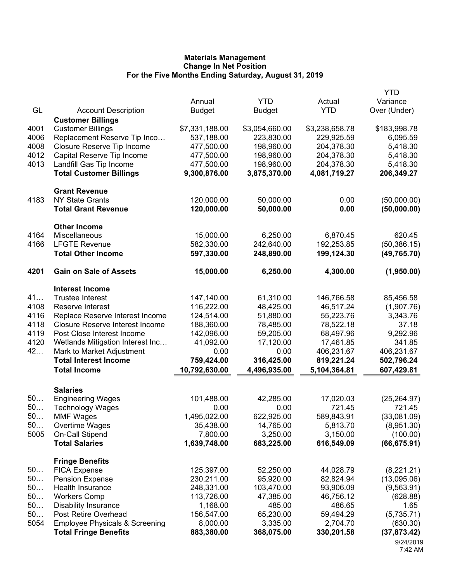|      |                                                           |                          |                        |                         | <b>YTD</b>             |
|------|-----------------------------------------------------------|--------------------------|------------------------|-------------------------|------------------------|
|      |                                                           | Annual                   | <b>YTD</b>             | Actual                  | Variance               |
| GL   | <b>Account Description</b>                                | <b>Budget</b>            | <b>Budget</b>          | <b>YTD</b>              | Over (Under)           |
|      | <b>Customer Billings</b>                                  |                          |                        |                         |                        |
| 4001 | <b>Customer Billings</b>                                  | \$7,331,188.00           | \$3,054,660.00         | \$3,238,658.78          | \$183,998.78           |
| 4006 | Replacement Reserve Tip Inco                              | 537,188.00               | 223,830.00             | 229,925.59              | 6,095.59               |
| 4008 | Closure Reserve Tip Income                                | 477,500.00               | 198,960.00             | 204,378.30              | 5,418.30               |
| 4012 | Capital Reserve Tip Income                                | 477,500.00               | 198,960.00             | 204,378.30              | 5,418.30               |
| 4013 | Landfill Gas Tip Income                                   | 477,500.00               | 198,960.00             | 204,378.30              | 5,418.30               |
|      | <b>Total Customer Billings</b>                            | 9,300,876.00             | 3,875,370.00           | 4,081,719.27            | 206,349.27             |
|      | <b>Grant Revenue</b>                                      |                          |                        |                         |                        |
| 4183 | <b>NY State Grants</b>                                    | 120,000.00               | 50,000.00              | 0.00                    | (50,000.00)            |
|      | <b>Total Grant Revenue</b>                                | 120,000.00               | 50,000.00              | 0.00                    | (50,000.00)            |
|      | <b>Other Income</b>                                       |                          |                        |                         |                        |
| 4164 | Miscellaneous                                             | 15,000.00                | 6,250.00               | 6,870.45                | 620.45                 |
| 4166 | <b>LFGTE Revenue</b>                                      | 582,330.00               | 242,640.00             | 192,253.85              | (50, 386.15)           |
|      | <b>Total Other Income</b>                                 | 597,330.00               | 248,890.00             | 199,124.30              | (49, 765.70)           |
| 4201 | <b>Gain on Sale of Assets</b>                             | 15,000.00                | 6,250.00               | 4,300.00                | (1,950.00)             |
|      |                                                           |                          |                        |                         |                        |
| 41   | <b>Interest Income</b><br><b>Trustee Interest</b>         |                          | 61,310.00              |                         |                        |
| 4108 |                                                           | 147,140.00               |                        | 146,766.58<br>46,517.24 | 85,456.58              |
| 4116 | Reserve Interest<br>Replace Reserve Interest Income       | 116,222.00<br>124,514.00 | 48,425.00<br>51,880.00 | 55,223.76               | (1,907.76)<br>3,343.76 |
| 4118 | <b>Closure Reserve Interest Income</b>                    | 188,360.00               | 78,485.00              | 78,522.18               | 37.18                  |
| 4119 | Post Close Interest Income                                | 142,096.00               | 59,205.00              | 68,497.96               | 9,292.96               |
| 4120 |                                                           |                          |                        |                         | 341.85                 |
| 42   | Wetlands Mitigation Interest Inc                          | 41,092.00<br>0.00        | 17,120.00<br>0.00      | 17,461.85<br>406,231.67 | 406,231.67             |
|      | Mark to Market Adjustment<br><b>Total Interest Income</b> |                          | 316,425.00             | 819,221.24              |                        |
|      |                                                           | 759,424.00               |                        |                         | 502,796.24             |
|      | <b>Total Income</b>                                       | 10,792,630.00            | 4,496,935.00           | 5,104,364.81            | 607,429.81             |
|      | <b>Salaries</b>                                           |                          |                        |                         |                        |
| 50   | <b>Engineering Wages</b>                                  | 101,488.00               | 42,285.00              | 17,020.03               | (25, 264.97)           |
| 50   | <b>Technology Wages</b>                                   | 0.00                     | 0.00                   | 721.45                  | 721.45                 |
| 50   | <b>MMF Wages</b>                                          | 1,495,022.00             | 622,925.00             | 589,843.91              | (33,081.09)            |
| 50   | Overtime Wages                                            | 35,438.00                | 14,765.00              | 5,813.70                | (8,951.30)             |
| 5005 | On-Call Stipend                                           | 7,800.00                 | 3,250.00               | 3,150.00                | (100.00)               |
|      | <b>Total Salaries</b>                                     | 1,639,748.00             | 683,225.00             | 616,549.09              | (66, 675.91)           |
|      | <b>Fringe Benefits</b>                                    |                          |                        |                         |                        |
| 50   | <b>FICA Expense</b>                                       | 125,397.00               | 52,250.00              | 44,028.79               | (8,221.21)             |
| 50   | <b>Pension Expense</b>                                    | 230,211.00               | 95,920.00              | 82,824.94               | (13,095.06)            |
| 50   | Health Insurance                                          | 248,331.00               | 103,470.00             | 93,906.09               | (9, 563.91)            |
| 50   | <b>Workers Comp</b>                                       | 113,726.00               | 47,385.00              | 46,756.12               | (628.88)               |
| 50   | <b>Disability Insurance</b>                               | 1,168.00                 | 485.00                 | 486.65                  | 1.65                   |
| 50   | Post Retire Overhead                                      | 156,547.00               | 65,230.00              | 59,494.29               | (5,735.71)             |
| 5054 | <b>Employee Physicals &amp; Screening</b>                 | 8,000.00                 | 3,335.00               | 2,704.70                | (630.30)               |
|      | <b>Total Fringe Benefits</b>                              | 883,380.00               | 368,075.00             | 330,201.58              | (37, 873.42)           |
|      |                                                           |                          |                        |                         | 9/24/2019              |

<sup>7:42</sup> AM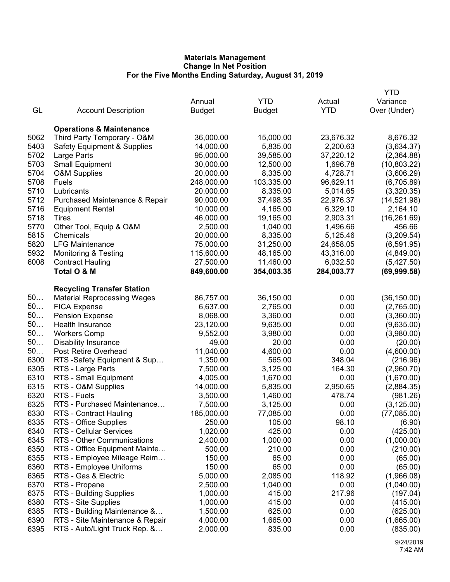|      |                                        |               |               |            | YTD          |
|------|----------------------------------------|---------------|---------------|------------|--------------|
|      |                                        | Annual        | <b>YTD</b>    | Actual     | Variance     |
| GL   | <b>Account Description</b>             | <b>Budget</b> | <b>Budget</b> | <b>YTD</b> | Over (Under) |
|      |                                        |               |               |            |              |
|      | <b>Operations &amp; Maintenance</b>    |               |               |            |              |
| 5062 | Third Party Temporary - O&M            | 36,000.00     | 15,000.00     | 23,676.32  | 8,676.32     |
| 5403 | <b>Safety Equipment &amp; Supplies</b> | 14,000.00     | 5,835.00      | 2,200.63   | (3,634.37)   |
| 5702 | Large Parts                            | 95,000.00     | 39,585.00     | 37,220.12  | (2,364.88)   |
| 5703 | <b>Small Equipment</b>                 | 30,000.00     | 12,500.00     | 1,696.78   | (10,803.22)  |
| 5704 | <b>O&amp;M Supplies</b>                | 20,000.00     | 8,335.00      | 4,728.71   | (3,606.29)   |
| 5708 | Fuels                                  | 248,000.00    | 103,335.00    | 96,629.11  | (6,705.89)   |
| 5710 | Lubricants                             | 20,000.00     | 8,335.00      | 5,014.65   | (3,320.35)   |
| 5712 | Purchased Maintenance & Repair         | 90,000.00     | 37,498.35     | 22,976.37  | (14,521.98)  |
| 5716 |                                        | 10,000.00     | 4,165.00      | 6,329.10   | 2,164.10     |
| 5718 | <b>Equipment Rental</b>                | 46,000.00     |               | 2,903.31   | (16, 261.69) |
|      | Tires                                  |               | 19,165.00     |            |              |
| 5770 | Other Tool, Equip & O&M                | 2,500.00      | 1,040.00      | 1,496.66   | 456.66       |
| 5815 | Chemicals                              | 20,000.00     | 8,335.00      | 5,125.46   | (3,209.54)   |
| 5820 | <b>LFG Maintenance</b>                 | 75,000.00     | 31,250.00     | 24,658.05  | (6,591.95)   |
| 5932 | <b>Monitoring &amp; Testing</b>        | 115,600.00    | 48,165.00     | 43,316.00  | (4,849.00)   |
| 6008 | <b>Contract Hauling</b>                | 27,500.00     | 11,460.00     | 6,032.50   | (5,427.50)   |
|      | Total O & M                            | 849,600.00    | 354,003.35    | 284,003.77 | (69,999.58)  |
|      |                                        |               |               |            |              |
|      | <b>Recycling Transfer Station</b>      |               |               |            |              |
| 50   | <b>Material Reprocessing Wages</b>     | 86,757.00     | 36,150.00     | 0.00       | (36, 150.00) |
| 50   | <b>FICA Expense</b>                    | 6,637.00      | 2,765.00      | 0.00       | (2,765.00)   |
| 50   | <b>Pension Expense</b>                 | 8,068.00      | 3,360.00      | 0.00       | (3,360.00)   |
| 50   | Health Insurance                       | 23,120.00     | 9,635.00      | 0.00       | (9,635.00)   |
| 50   | <b>Workers Comp</b>                    | 9,552.00      | 3,980.00      | 0.00       | (3,980.00)   |
| 50   | <b>Disability Insurance</b>            | 49.00         | 20.00         | 0.00       | (20.00)      |
| 50   | Post Retire Overhead                   | 11,040.00     | 4,600.00      | 0.00       | (4,600.00)   |
| 6300 | RTS -Safety Equipment & Sup            | 1,350.00      | 565.00        | 348.04     | (216.96)     |
| 6305 | RTS - Large Parts                      | 7,500.00      | 3,125.00      | 164.30     | (2,960.70)   |
| 6310 | RTS - Small Equipment                  | 4,005.00      | 1,670.00      | 0.00       | (1,670.00)   |
| 6315 | RTS - O&M Supplies                     | 14,000.00     | 5,835.00      | 2,950.65   | (2,884.35)   |
| 6320 | RTS - Fuels                            | 3,500.00      | 1,460.00      | 478.74     | (981.26)     |
| 6325 | RTS - Purchased Maintenance            | 7,500.00      | 3,125.00      | 0.00       | (3, 125.00)  |
| 6330 | RTS - Contract Hauling                 | 185,000.00    | 77,085.00     | 0.00       | (77,085.00)  |
| 6335 | RTS - Office Supplies                  | 250.00        | 105.00        | 98.10      | (6.90)       |
| 6340 | RTS - Cellular Services                | 1,020.00      | 425.00        | 0.00       | (425.00)     |
| 6345 | RTS - Other Communications             | 2,400.00      | 1,000.00      | 0.00       | (1,000.00)   |
| 6350 | RTS - Office Equipment Mainte          | 500.00        | 210.00        | 0.00       | (210.00)     |
| 6355 | RTS - Employee Mileage Reim            | 150.00        | 65.00         | 0.00       | (65.00)      |
| 6360 | RTS - Employee Uniforms                | 150.00        | 65.00         | 0.00       | (65.00)      |
| 6365 | RTS - Gas & Electric                   | 5,000.00      | 2,085.00      | 118.92     | (1,966.08)   |
| 6370 | RTS - Propane                          | 2,500.00      | 1,040.00      | 0.00       | (1,040.00)   |
| 6375 | RTS - Building Supplies                | 1,000.00      | 415.00        | 217.96     | (197.04)     |
| 6380 | RTS - Site Supplies                    | 1,000.00      | 415.00        | 0.00       | (415.00)     |
| 6385 | RTS - Building Maintenance &           | 1,500.00      | 625.00        | 0.00       | (625.00)     |
| 6390 | RTS - Site Maintenance & Repair        | 4,000.00      | 1,665.00      | 0.00       | (1,665.00)   |
| 6395 | RTS - Auto/Light Truck Rep. &          | 2,000.00      | 835.00        | 0.00       | (835.00)     |
|      |                                        |               |               |            |              |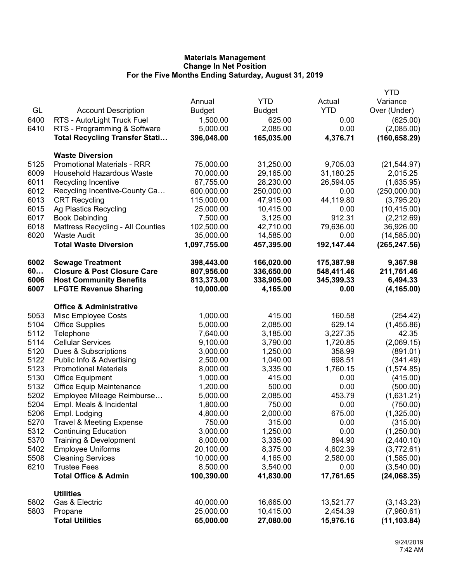|              |                                                     |                      |                  |              | <b>YTD</b>             |
|--------------|-----------------------------------------------------|----------------------|------------------|--------------|------------------------|
|              |                                                     | Annual               | <b>YTD</b>       | Actual       | Variance               |
| GL           | <b>Account Description</b>                          | <b>Budget</b>        | <b>Budget</b>    | <b>YTD</b>   | Over (Under)           |
| 6400         | RTS - Auto/Light Truck Fuel                         | 1,500.00             | 625.00           | 0.00         | (625.00)               |
| 6410         | RTS - Programming & Software                        | 5,000.00             | 2,085.00         | 0.00         | (2,085.00)             |
|              | <b>Total Recycling Transfer Stati</b>               | 396,048.00           | 165,035.00       | 4,376.71     | (160, 658.29)          |
|              | <b>Waste Diversion</b>                              |                      |                  |              |                        |
| 5125         | <b>Promotional Materials - RRR</b>                  | 75,000.00            | 31,250.00        | 9,705.03     | (21, 544.97)           |
| 6009         | <b>Household Hazardous Waste</b>                    | 70,000.00            | 29,165.00        | 31,180.25    | 2,015.25               |
| 6011         | Recycling Incentive                                 | 67,755.00            | 28,230.00        | 26,594.05    | (1,635.95)             |
| 6012         | Recycling Incentive-County Ca                       | 600,000.00           | 250,000.00       | 0.00         | (250,000.00)           |
| 6013         | <b>CRT Recycling</b>                                | 115,000.00           | 47,915.00        | 44,119.80    | (3,795.20)             |
| 6015         | Ag Plastics Recycling                               | 25,000.00            | 10,415.00        | 0.00         | (10, 415.00)           |
| 6017         | <b>Book Debinding</b>                               | 7,500.00             | 3,125.00         | 912.31       | (2,212.69)             |
| 6018         | <b>Mattress Recycling - All Counties</b>            | 102,500.00           | 42,710.00        | 79,636.00    | 36,926.00              |
| 6020         | <b>Waste Audit</b>                                  | 35,000.00            | 14,585.00        | 0.00         | (14, 585.00)           |
|              | <b>Total Waste Diversion</b>                        | 1,097,755.00         | 457,395.00       | 192,147.44   | (265, 247.56)          |
| 6002         | <b>Sewage Treatment</b>                             | 398,443.00           | 166,020.00       | 175,387.98   | 9,367.98               |
| 60           | <b>Closure &amp; Post Closure Care</b>              | 807,956.00           | 336,650.00       | 548,411.46   | 211,761.46             |
| 6006         | <b>Host Community Benefits</b>                      | 813,373.00           | 338,905.00       | 345,399.33   | 6,494.33               |
| 6007         | <b>LFGTE Revenue Sharing</b>                        | 10,000.00            | 4,165.00         | 0.00         | (4, 165.00)            |
|              | <b>Office &amp; Administrative</b>                  |                      |                  |              |                        |
| 5053         | Misc Employee Costs                                 | 1,000.00             | 415.00           | 160.58       | (254.42)               |
| 5104         | <b>Office Supplies</b>                              | 5,000.00             | 2,085.00         | 629.14       | (1,455.86)             |
| 5112         | Telephone                                           | 7,640.00             | 3,185.00         | 3,227.35     | 42.35                  |
| 5114         | <b>Cellular Services</b>                            | 9,100.00             | 3,790.00         | 1,720.85     | (2,069.15)             |
| 5120         | Dues & Subscriptions                                | 3,000.00             | 1,250.00         | 358.99       | (891.01)               |
| 5122         | Public Info & Advertising                           | 2,500.00             | 1,040.00         | 698.51       | (341.49)               |
| 5123         | <b>Promotional Materials</b>                        | 8,000.00             | 3,335.00         | 1,760.15     | (1,574.85)             |
| 5130<br>5132 | <b>Office Equipment</b><br>Office Equip Maintenance | 1,000.00<br>1,200.00 | 415.00<br>500.00 | 0.00<br>0.00 | (415.00)               |
| 5202         | Employee Mileage Reimburse                          | 5,000.00             | 2,085.00         | 453.79       | (500.00)<br>(1,631.21) |
| 5204         | Empl. Meals & Incidental                            | 1,800.00             | 750.00           | 0.00         | (750.00)               |
| 5206         | Empl. Lodging                                       | 4,800.00             | 2,000.00         | 675.00       | (1,325.00)             |
| 5270         | <b>Travel &amp; Meeting Expense</b>                 | 750.00               | 315.00           | 0.00         | (315.00)               |
| 5312         | <b>Continuing Education</b>                         | 3,000.00             | 1,250.00         | 0.00         | (1,250.00)             |
| 5370         | Training & Development                              | 8,000.00             | 3,335.00         | 894.90       | (2,440.10)             |
| 5402         | <b>Employee Uniforms</b>                            | 20,100.00            | 8,375.00         | 4,602.39     | (3,772.61)             |
| 5508         | <b>Cleaning Services</b>                            | 10,000.00            | 4,165.00         | 2,580.00     | (1,585.00)             |
| 6210         | <b>Trustee Fees</b>                                 | 8,500.00             | 3,540.00         | 0.00         | (3,540.00)             |
|              | <b>Total Office &amp; Admin</b>                     | 100,390.00           | 41,830.00        | 17,761.65    | (24,068.35)            |
|              | <b>Utilities</b>                                    |                      |                  |              |                        |
| 5802         | Gas & Electric                                      | 40,000.00            | 16,665.00        | 13,521.77    | (3, 143.23)            |
| 5803         | Propane                                             | 25,000.00            | 10,415.00        | 2,454.39     | (7,960.61)             |
|              | <b>Total Utilities</b>                              | 65,000.00            | 27,080.00        | 15,976.16    | (11, 103.84)           |
|              |                                                     |                      |                  |              |                        |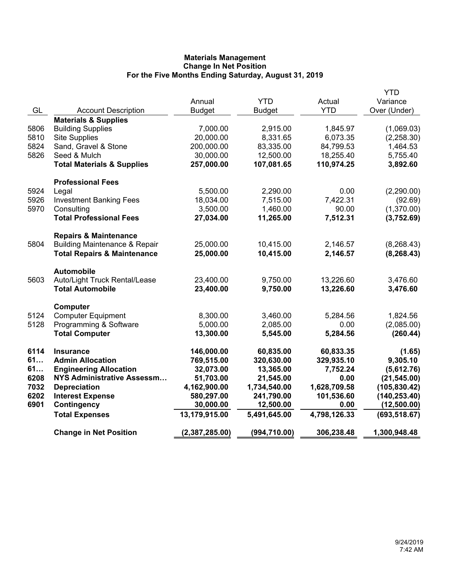|              |                                                | Annual                     | <b>YTD</b>                 |                            | <b>YTD</b>                     |
|--------------|------------------------------------------------|----------------------------|----------------------------|----------------------------|--------------------------------|
| GL           | <b>Account Description</b>                     | <b>Budget</b>              | <b>Budget</b>              | Actual<br><b>YTD</b>       | Variance<br>Over (Under)       |
|              | <b>Materials &amp; Supplies</b>                |                            |                            |                            |                                |
| 5806         | <b>Building Supplies</b>                       | 7,000.00                   | 2,915.00                   | 1,845.97                   | (1,069.03)                     |
| 5810         | <b>Site Supplies</b>                           | 20,000.00                  | 8,331.65                   | 6,073.35                   | (2,258.30)                     |
| 5824         | Sand, Gravel & Stone                           | 200,000.00                 | 83,335.00                  | 84,799.53                  | 1,464.53                       |
| 5826         | Seed & Mulch                                   | 30,000.00                  | 12,500.00                  | 18,255.40                  | 5,755.40                       |
|              | <b>Total Materials &amp; Supplies</b>          | 257,000.00                 | 107,081.65                 | 110,974.25                 | 3,892.60                       |
|              | <b>Professional Fees</b>                       |                            |                            |                            |                                |
| 5924         | Legal                                          | 5,500.00                   | 2,290.00                   | 0.00                       | (2,290.00)                     |
| 5926         | <b>Investment Banking Fees</b>                 | 18,034.00                  | 7,515.00                   | 7,422.31                   | (92.69)                        |
| 5970         | Consulting                                     | 3,500.00                   | 1,460.00                   | 90.00                      | (1,370.00)                     |
|              | <b>Total Professional Fees</b>                 | 27,034.00                  | 11,265.00                  | 7,512.31                   | (3,752.69)                     |
|              | <b>Repairs &amp; Maintenance</b>               |                            |                            |                            |                                |
| 5804         | <b>Building Maintenance &amp; Repair</b>       | 25,000.00                  | 10,415.00                  | 2,146.57                   | (8, 268.43)                    |
|              | <b>Total Repairs &amp; Maintenance</b>         | 25,000.00                  | 10,415.00                  | 2,146.57                   | (8, 268.43)                    |
|              | <b>Automobile</b>                              |                            |                            |                            |                                |
| 5603         | Auto/Light Truck Rental/Lease                  | 23,400.00                  | 9,750.00                   | 13,226.60                  | 3,476.60                       |
|              | <b>Total Automobile</b>                        | 23,400.00                  | 9,750.00                   | 13,226.60                  | 3,476.60                       |
|              | Computer                                       |                            |                            |                            |                                |
| 5124         | <b>Computer Equipment</b>                      | 8,300.00                   | 3,460.00                   | 5,284.56                   | 1,824.56                       |
| 5128         | Programming & Software                         | 5,000.00                   | 2,085.00                   | 0.00                       | (2,085.00)                     |
|              | <b>Total Computer</b>                          | 13,300.00                  | 5,545.00                   | 5,284.56                   | (260.44)                       |
| 6114         | <b>Insurance</b>                               | 146,000.00                 | 60,835.00                  | 60,833.35                  | (1.65)                         |
| 61           | <b>Admin Allocation</b>                        | 769,515.00                 | 320,630.00                 | 329,935.10                 | 9,305.10                       |
| 61           | <b>Engineering Allocation</b>                  | 32,073.00                  | 13,365.00                  | 7,752.24                   | (5,612.76)                     |
| 6208         | <b>NYS Administrative Assessm</b>              | 51,703.00                  | 21,545.00                  | 0.00                       | (21, 545.00)                   |
| 7032<br>6202 | <b>Depreciation</b><br><b>Interest Expense</b> | 4,162,900.00<br>580,297.00 | 1,734,540.00<br>241,790.00 | 1,628,709.58<br>101,536.60 | (105, 830.42)<br>(140, 253.40) |
| 6901         | <b>Contingency</b>                             | 30,000.00                  | 12,500.00                  | 0.00                       | (12,500.00)                    |
|              | <b>Total Expenses</b>                          | 13,179,915.00              | 5,491,645.00               | 4,798,126.33               | (693, 518.67)                  |
|              | <b>Change in Net Position</b>                  | (2,387,285.00)             | (994, 710.00)              | 306,238.48                 | 1,300,948.48                   |
|              |                                                |                            |                            |                            |                                |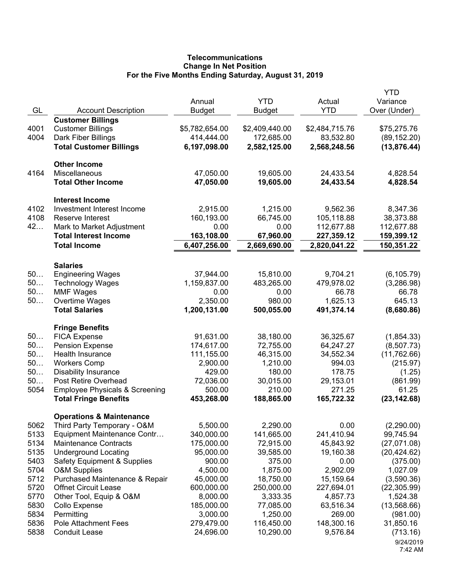## **Telecommunications Change In Net Position For the Five Months Ending Saturday, August 31, 2019**

| GL           | <b>Account Description</b>                             | Annual<br><b>Budget</b> | <b>YTD</b><br><b>Budget</b> | Actual<br><b>YTD</b>   | <b>YTD</b><br>Variance<br>Over (Under) |
|--------------|--------------------------------------------------------|-------------------------|-----------------------------|------------------------|----------------------------------------|
|              | <b>Customer Billings</b>                               |                         |                             |                        |                                        |
| 4001         | <b>Customer Billings</b>                               | \$5,782,654.00          | \$2,409,440.00              | \$2,484,715.76         | \$75,275.76                            |
| 4004         | Dark Fiber Billings                                    | 414,444.00              | 172,685.00                  | 83,532.80              | (89, 152.20)                           |
|              | <b>Total Customer Billings</b>                         | 6,197,098.00            | 2,582,125.00                | 2,568,248.56           | (13, 876.44)                           |
|              | <b>Other Income</b>                                    |                         |                             |                        |                                        |
| 4164         | Miscellaneous<br><b>Total Other Income</b>             | 47,050.00<br>47,050.00  | 19,605.00<br>19,605.00      | 24,433.54<br>24,433.54 | 4,828.54<br>4,828.54                   |
|              | <b>Interest Income</b>                                 |                         |                             |                        |                                        |
| 4102         | Investment Interest Income                             | 2,915.00                | 1,215.00                    | 9,562.36               | 8,347.36                               |
| 4108         | Reserve Interest                                       | 160,193.00              | 66,745.00                   | 105,118.88             | 38,373.88                              |
| 42           | Mark to Market Adjustment                              | 0.00                    | 0.00                        | 112,677.88             | 112,677.88                             |
|              | <b>Total Interest Income</b>                           | 163,108.00              | 67,960.00                   | 227,359.12             | 159,399.12                             |
|              | <b>Total Income</b>                                    | 6,407,256.00            | 2,669,690.00                | 2,820,041.22           | 150,351.22                             |
|              | <b>Salaries</b>                                        |                         |                             |                        |                                        |
| 50           | <b>Engineering Wages</b>                               | 37,944.00               | 15,810.00                   | 9,704.21               | (6, 105.79)                            |
| 50           | <b>Technology Wages</b>                                | 1,159,837.00            | 483,265.00                  | 479,978.02             | (3,286.98)                             |
| 50           | <b>MMF Wages</b>                                       | 0.00                    | 0.00                        | 66.78                  | 66.78                                  |
| 50           | Overtime Wages                                         | 2,350.00                | 980.00                      | 1,625.13               | 645.13                                 |
|              | <b>Total Salaries</b>                                  | 1,200,131.00            | 500,055.00                  | 491,374.14             | (8,680.86)                             |
|              | <b>Fringe Benefits</b>                                 |                         |                             |                        |                                        |
| 50           | <b>FICA Expense</b>                                    | 91,631.00               | 38,180.00                   | 36,325.67              | (1,854.33)                             |
| 50           | <b>Pension Expense</b>                                 | 174,617.00              | 72,755.00                   | 64,247.27              | (8,507.73)                             |
| 50           | Health Insurance                                       | 111,155.00              | 46,315.00                   | 34,552.34              | (11,762.66)                            |
| 50           | <b>Workers Comp</b>                                    | 2,900.00                | 1,210.00                    | 994.03                 | (215.97)                               |
| 50           | <b>Disability Insurance</b>                            | 429.00                  | 180.00                      | 178.75                 | (1.25)                                 |
| 50           | Post Retire Overhead                                   | 72,036.00               | 30,015.00                   | 29,153.01              | (861.99)                               |
| 5054         | <b>Employee Physicals &amp; Screening</b>              | 500.00                  | 210.00                      | 271.25                 | 61.25                                  |
|              | <b>Total Fringe Benefits</b>                           | 453,268.00              | 188,865.00                  | 165,722.32             | (23, 142.68)                           |
|              | <b>Operations &amp; Maintenance</b>                    |                         |                             |                        |                                        |
| 5062         | Third Party Temporary - O&M                            | 5,500.00                | 2,290.00                    | 0.00                   | (2,290.00)                             |
| 5133         | Equipment Maintenance Contr                            | 340,000.00              | 141,665.00                  | 241,410.94             | 99,745.94                              |
| 5134         | <b>Maintenance Contracts</b>                           | 175,000.00              | 72,915.00                   | 45,843.92              | (27,071.08)                            |
| 5135         | <b>Underground Locating</b>                            | 95,000.00               | 39,585.00                   | 19,160.38              | (20, 424.62)                           |
| 5403         | <b>Safety Equipment &amp; Supplies</b>                 | 900.00                  | 375.00                      | 0.00                   | (375.00)                               |
| 5704         | <b>O&amp;M Supplies</b>                                | 4,500.00                | 1,875.00                    | 2,902.09               | 1,027.09                               |
| 5712         | Purchased Maintenance & Repair                         | 45,000.00               | 18,750.00                   | 15,159.64              | (3,590.36)                             |
| 5720<br>5770 | <b>Offnet Circuit Lease</b><br>Other Tool, Equip & O&M | 600,000.00<br>8,000.00  | 250,000.00<br>3,333.35      | 227,694.01<br>4,857.73 | (22, 305.99)<br>1,524.38               |
| 5830         | Collo Expense                                          | 185,000.00              | 77,085.00                   | 63,516.34              | (13,568.66)                            |
| 5834         | Permitting                                             | 3,000.00                | 1,250.00                    | 269.00                 | (981.00)                               |
| 5836         | <b>Pole Attachment Fees</b>                            | 279,479.00              | 116,450.00                  | 148,300.16             | 31,850.16                              |
| 5838         | <b>Conduit Lease</b>                                   | 24,696.00               | 10,290.00                   | 9,576.84               | (713.16)                               |
|              |                                                        |                         |                             |                        | 9/24/2019                              |
|              |                                                        |                         |                             |                        | 7:42 AM                                |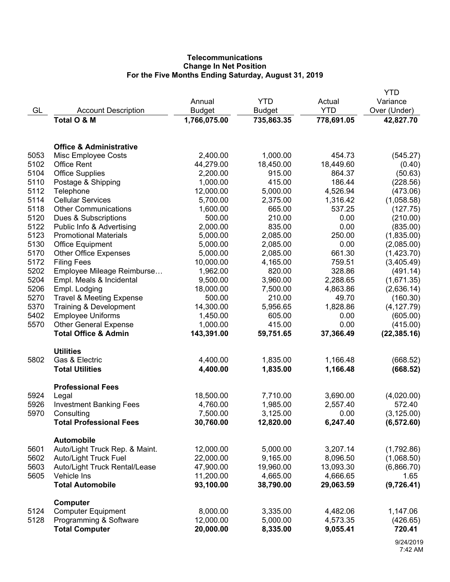# **Telecommunications Change In Net Position For the Five Months Ending Saturday, August 31, 2019**

|      |                                           |               |               |            | YTD          |
|------|-------------------------------------------|---------------|---------------|------------|--------------|
|      |                                           | Annual        | <b>YTD</b>    | Actual     | Variance     |
| GL   | <b>Account Description</b><br>Total O & M | <b>Budget</b> | <b>Budget</b> | <b>YTD</b> | Over (Under) |
|      |                                           | 1,766,075.00  | 735,863.35    | 778,691.05 | 42,827.70    |
|      | <b>Office &amp; Administrative</b>        |               |               |            |              |
| 5053 | Misc Employee Costs                       | 2,400.00      | 1,000.00      | 454.73     | (545.27)     |
| 5102 | <b>Office Rent</b>                        | 44,279.00     | 18,450.00     | 18,449.60  | (0.40)       |
| 5104 | <b>Office Supplies</b>                    | 2,200.00      | 915.00        | 864.37     | (50.63)      |
| 5110 | Postage & Shipping                        | 1,000.00      | 415.00        | 186.44     | (228.56)     |
| 5112 | Telephone                                 | 12,000.00     | 5,000.00      | 4,526.94   | (473.06)     |
| 5114 | <b>Cellular Services</b>                  | 5,700.00      | 2,375.00      | 1,316.42   | (1,058.58)   |
| 5118 | <b>Other Communications</b>               | 1,600.00      | 665.00        | 537.25     | (127.75)     |
| 5120 | Dues & Subscriptions                      | 500.00        | 210.00        | 0.00       | (210.00)     |
| 5122 | Public Info & Advertising                 | 2,000.00      | 835.00        | 0.00       | (835.00)     |
| 5123 | <b>Promotional Materials</b>              | 5,000.00      | 2,085.00      | 250.00     | (1,835.00)   |
| 5130 | <b>Office Equipment</b>                   | 5,000.00      | 2,085.00      | 0.00       | (2,085.00)   |
| 5170 | <b>Other Office Expenses</b>              | 5,000.00      | 2,085.00      | 661.30     | (1,423.70)   |
| 5172 | <b>Filing Fees</b>                        | 10,000.00     | 4,165.00      | 759.51     | (3,405.49)   |
| 5202 | Employee Mileage Reimburse                | 1,962.00      | 820.00        | 328.86     | (491.14)     |
| 5204 | Empl. Meals & Incidental                  | 9,500.00      | 3,960.00      | 2,288.65   | (1,671.35)   |
| 5206 | Empl. Lodging                             | 18,000.00     | 7,500.00      | 4,863.86   | (2,636.14)   |
| 5270 | <b>Travel &amp; Meeting Expense</b>       | 500.00        | 210.00        | 49.70      | (160.30)     |
| 5370 | Training & Development                    | 14,300.00     | 5,956.65      | 1,828.86   | (4, 127.79)  |
| 5402 | <b>Employee Uniforms</b>                  | 1,450.00      | 605.00        | 0.00       | (605.00)     |
| 5570 | <b>Other General Expense</b>              | 1,000.00      | 415.00        | 0.00       | (415.00)     |
|      | <b>Total Office &amp; Admin</b>           | 143,391.00    | 59,751.65     | 37,366.49  | (22, 385.16) |
|      | <b>Utilities</b>                          |               |               |            |              |
| 5802 | Gas & Electric                            | 4,400.00      | 1,835.00      | 1,166.48   | (668.52)     |
|      | <b>Total Utilities</b>                    | 4,400.00      | 1,835.00      | 1,166.48   | (668.52)     |
| 5924 | <b>Professional Fees</b><br>Legal         | 18,500.00     | 7,710.00      | 3,690.00   | (4,020.00)   |
| 5926 | <b>Investment Banking Fees</b>            | 4,760.00      | 1,985.00      | 2,557.40   | 572.40       |
| 5970 | Consulting                                | 7,500.00      | 3,125.00      | 0.00       | (3, 125.00)  |
|      | <b>Total Professional Fees</b>            | 30,760.00     | 12,820.00     | 6,247.40   | (6, 572.60)  |
|      |                                           |               |               |            |              |
|      | <b>Automobile</b>                         |               |               |            |              |
| 5601 | Auto/Light Truck Rep. & Maint.            | 12,000.00     | 5,000.00      | 3,207.14   | (1,792.86)   |
| 5602 | <b>Auto/Light Truck Fuel</b>              | 22,000.00     | 9,165.00      | 8,096.50   | (1,068.50)   |
| 5603 | Auto/Light Truck Rental/Lease             | 47,900.00     | 19,960.00     | 13,093.30  | (6,866.70)   |
| 5605 | Vehicle Ins                               | 11,200.00     | 4,665.00      | 4,666.65   | 1.65         |
|      | <b>Total Automobile</b>                   | 93,100.00     | 38,790.00     | 29,063.59  | (9,726.41)   |
| 5124 | Computer<br><b>Computer Equipment</b>     | 8,000.00      | 3,335.00      | 4,482.06   | 1,147.06     |
| 5128 | Programming & Software                    | 12,000.00     | 5,000.00      | 4,573.35   | (426.65)     |
|      | <b>Total Computer</b>                     | 20,000.00     | 8,335.00      | 9,055.41   | 720.41       |
|      |                                           |               |               |            |              |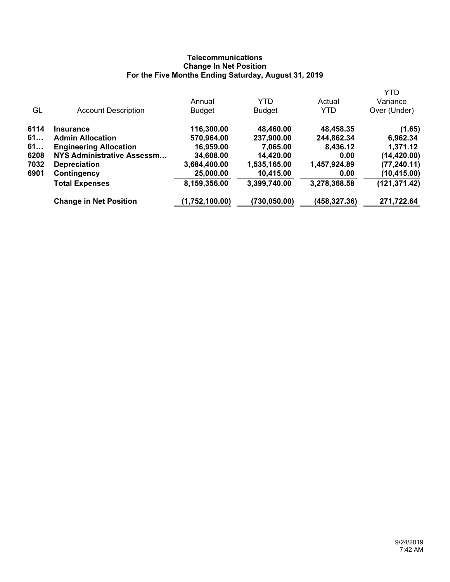# **Telecommunications Change In Net Position For the Five Months Ending Saturday, August 31, 2019**

|      |                                   |                |               |              | <b>YTD</b>    |
|------|-----------------------------------|----------------|---------------|--------------|---------------|
|      |                                   | Annual         | <b>YTD</b>    | Actual       | Variance      |
| GL   | <b>Account Description</b>        | <b>Budget</b>  | <b>Budget</b> | <b>YTD</b>   | Over (Under)  |
| 6114 | <b>Insurance</b>                  | 116,300.00     | 48,460.00     | 48,458.35    | (1.65)        |
| 61   | <b>Admin Allocation</b>           | 570,964.00     | 237,900.00    | 244,862.34   | 6,962.34      |
| 61   | <b>Engineering Allocation</b>     | 16,959.00      | 7,065.00      | 8,436.12     | 1,371.12      |
| 6208 | <b>NYS Administrative Assessm</b> | 34,608.00      | 14,420.00     | 0.00         | (14, 420.00)  |
| 7032 | <b>Depreciation</b>               | 3,684,400.00   | 1,535,165.00  | 1,457,924.89 | (77, 240.11)  |
| 6901 | Contingency                       | 25,000.00      | 10,415.00     | 0.00         | (10, 415.00)  |
|      | <b>Total Expenses</b>             | 8,159,356.00   | 3,399,740.00  | 3,278,368.58 | (121, 371.42) |
|      | <b>Change in Net Position</b>     | (1,752,100.00) | (730,050.00)  | (458,327.36) | 271,722.64    |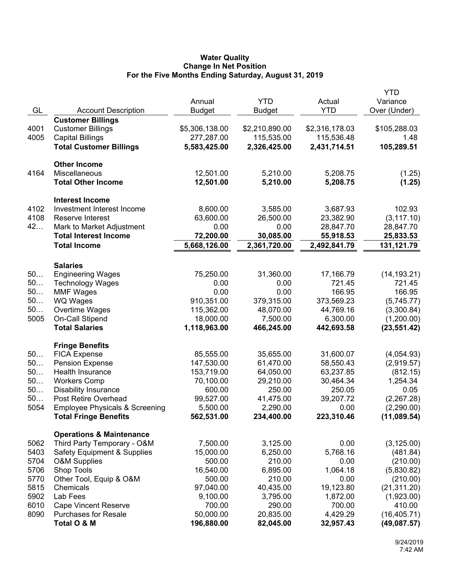## **Water Quality Change In Net Position For the Five Months Ending Saturday, August 31, 2019**

|      |                                           |                |                |                | <b>YTD</b>   |
|------|-------------------------------------------|----------------|----------------|----------------|--------------|
|      |                                           | Annual         | <b>YTD</b>     | Actual         | Variance     |
| GL   | <b>Account Description</b>                | <b>Budget</b>  | <b>Budget</b>  | <b>YTD</b>     | Over (Under) |
|      | <b>Customer Billings</b>                  |                |                |                |              |
| 4001 | <b>Customer Billings</b>                  | \$5,306,138.00 | \$2,210,890.00 | \$2,316,178.03 | \$105,288.03 |
| 4005 | <b>Capital Billings</b>                   | 277,287.00     | 115,535.00     | 115,536.48     | 1.48         |
|      | <b>Total Customer Billings</b>            | 5,583,425.00   | 2,326,425.00   | 2,431,714.51   | 105,289.51   |
|      |                                           |                |                |                |              |
|      | <b>Other Income</b>                       |                |                |                |              |
| 4164 | Miscellaneous                             | 12,501.00      | 5,210.00       | 5,208.75       | (1.25)       |
|      | <b>Total Other Income</b>                 | 12,501.00      | 5,210.00       | 5,208.75       | (1.25)       |
|      | <b>Interest Income</b>                    |                |                |                |              |
| 4102 | Investment Interest Income                | 8,600.00       | 3,585.00       | 3,687.93       | 102.93       |
| 4108 | Reserve Interest                          | 63,600.00      | 26,500.00      | 23,382.90      | (3, 117.10)  |
| 42   | Mark to Market Adjustment                 | 0.00           | 0.00           | 28,847.70      | 28,847.70    |
|      | <b>Total Interest Income</b>              | 72,200.00      | 30,085.00      | 55,918.53      | 25,833.53    |
|      | <b>Total Income</b>                       | 5,668,126.00   | 2,361,720.00   | 2,492,841.79   | 131,121.79   |
|      |                                           |                |                |                |              |
|      | <b>Salaries</b>                           |                |                |                |              |
| 50   | <b>Engineering Wages</b>                  | 75,250.00      | 31,360.00      | 17,166.79      | (14, 193.21) |
| 50   | <b>Technology Wages</b>                   | 0.00           | 0.00           | 721.45         | 721.45       |
| 50   | <b>MMF Wages</b>                          | 0.00           | 0.00           | 166.95         | 166.95       |
| 50   | <b>WQ Wages</b>                           | 910,351.00     | 379,315.00     | 373,569.23     | (5,745.77)   |
| 50   | Overtime Wages                            | 115,362.00     | 48,070.00      | 44,769.16      | (3,300.84)   |
| 5005 | On-Call Stipend                           | 18,000.00      | 7,500.00       | 6,300.00       | (1,200.00)   |
|      | <b>Total Salaries</b>                     | 1,118,963.00   | 466,245.00     | 442,693.58     | (23, 551.42) |
|      |                                           |                |                |                |              |
|      | <b>Fringe Benefits</b>                    |                |                |                |              |
| 50   | <b>FICA Expense</b>                       | 85,555.00      | 35,655.00      | 31,600.07      | (4,054.93)   |
| 50   | <b>Pension Expense</b>                    | 147,530.00     | 61,470.00      | 58,550.43      | (2,919.57)   |
| 50   | Health Insurance                          | 153,719.00     | 64,050.00      | 63,237.85      | (812.15)     |
| 50   | <b>Workers Comp</b>                       | 70,100.00      | 29,210.00      | 30,464.34      | 1,254.34     |
| 50   | <b>Disability Insurance</b>               | 600.00         | 250.00         | 250.05         | 0.05         |
| 50   | Post Retire Overhead                      | 99,527.00      | 41,475.00      | 39,207.72      | (2,267.28)   |
| 5054 | <b>Employee Physicals &amp; Screening</b> | 5,500.00       | 2,290.00       | 0.00           | (2,290.00)   |
|      | <b>Total Fringe Benefits</b>              | 562,531.00     | 234,400.00     | 223,310.46     | (11,089.54)  |
|      | <b>Operations &amp; Maintenance</b>       |                |                |                |              |
| 5062 | Third Party Temporary - O&M               | 7,500.00       | 3,125.00       | 0.00           | (3, 125.00)  |
| 5403 | <b>Safety Equipment &amp; Supplies</b>    | 15,000.00      | 6,250.00       | 5,768.16       | (481.84)     |
| 5704 | <b>O&amp;M Supplies</b>                   | 500.00         | 210.00         | 0.00           | (210.00)     |
| 5706 | Shop Tools                                | 16,540.00      | 6,895.00       | 1,064.18       | (5,830.82)   |
| 5770 | Other Tool, Equip & O&M                   | 500.00         | 210.00         | 0.00           | (210.00)     |
| 5815 | Chemicals                                 | 97,040.00      | 40,435.00      | 19,123.80      | (21, 311.20) |
| 5902 | Lab Fees                                  | 9,100.00       | 3,795.00       | 1,872.00       | (1,923.00)   |
| 6010 | <b>Cape Vincent Reserve</b>               | 700.00         | 290.00         | 700.00         | 410.00       |
| 8090 | <b>Purchases for Resale</b>               | 50,000.00      | 20,835.00      | 4,429.29       | (16, 405.71) |
|      | Total O & M                               | 196,880.00     | 82,045.00      | 32,957.43      | (49,087.57)  |
|      |                                           |                |                |                |              |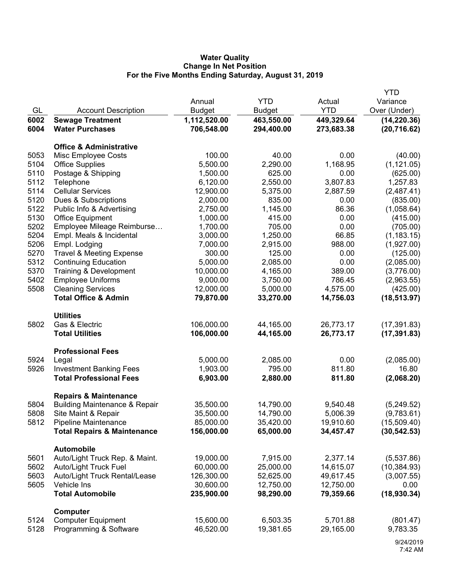## **Water Quality Change In Net Position For the Five Months Ending Saturday, August 31, 2019**

|              |                                              |                         |            |            | <b>YTD</b>   |
|--------------|----------------------------------------------|-------------------------|------------|------------|--------------|
|              |                                              | Annual                  | <b>YTD</b> | Actual     | Variance     |
| GL           | <b>Account Description</b>                   | <b>Budget</b>           | Budget     | <b>YTD</b> | Over (Under) |
| 6002         | <b>Sewage Treatment</b>                      | 1,112,520.00            | 463,550.00 | 449,329.64 | (14, 220.36) |
| 6004         | <b>Water Purchases</b>                       | 706,548.00              | 294,400.00 | 273,683.38 | (20, 716.62) |
|              | <b>Office &amp; Administrative</b>           |                         |            |            |              |
|              |                                              | 100.00                  | 40.00      | 0.00       |              |
| 5053         | Misc Employee Costs                          | 5,500.00                |            |            | (40.00)      |
| 5104<br>5110 | <b>Office Supplies</b>                       |                         | 2,290.00   | 1,168.95   | (1, 121.05)  |
| 5112         | Postage & Shipping                           | 1,500.00                | 625.00     | 0.00       | (625.00)     |
| 5114         | Telephone                                    | 6,120.00                | 2,550.00   | 3,807.83   | 1,257.83     |
|              | <b>Cellular Services</b>                     | 12,900.00               | 5,375.00   | 2,887.59   | (2,487.41)   |
| 5120         | Dues & Subscriptions                         | 2,000.00                | 835.00     | 0.00       | (835.00)     |
| 5122         | Public Info & Advertising                    | 2,750.00                | 1,145.00   | 86.36      | (1,058.64)   |
| 5130         | <b>Office Equipment</b>                      | 1,000.00                | 415.00     | 0.00       | (415.00)     |
| 5202         | Employee Mileage Reimburse                   | 1,700.00                | 705.00     | 0.00       | (705.00)     |
| 5204         | Empl. Meals & Incidental                     | 3,000.00                | 1,250.00   | 66.85      | (1, 183.15)  |
| 5206         | Empl. Lodging                                | 7,000.00                | 2,915.00   | 988.00     | (1,927.00)   |
| 5270         | <b>Travel &amp; Meeting Expense</b>          | 300.00                  | 125.00     | 0.00       | (125.00)     |
| 5312         | <b>Continuing Education</b>                  | 5,000.00                | 2,085.00   | 0.00       | (2,085.00)   |
| 5370         | Training & Development                       | 10,000.00               | 4,165.00   | 389.00     | (3,776.00)   |
| 5402         | <b>Employee Uniforms</b>                     | 9,000.00                | 3,750.00   | 786.45     | (2,963.55)   |
| 5508         | <b>Cleaning Services</b>                     | 12,000.00               | 5,000.00   | 4,575.00   | (425.00)     |
|              | <b>Total Office &amp; Admin</b>              | 79,870.00               | 33,270.00  | 14,756.03  | (18, 513.97) |
|              | <b>Utilities</b>                             |                         |            |            |              |
| 5802         | Gas & Electric                               | 106,000.00              | 44,165.00  | 26,773.17  | (17, 391.83) |
|              | <b>Total Utilities</b>                       | 106,000.00              | 44,165.00  | 26,773.17  | (17, 391.83) |
|              | <b>Professional Fees</b>                     |                         |            |            |              |
| 5924         | Legal                                        | 5,000.00                | 2,085.00   | 0.00       | (2,085.00)   |
| 5926         | <b>Investment Banking Fees</b>               | 1,903.00                | 795.00     | 811.80     | 16.80        |
|              | <b>Total Professional Fees</b>               | 6,903.00                | 2,880.00   | 811.80     | (2,068.20)   |
|              | <b>Repairs &amp; Maintenance</b>             |                         |            |            |              |
| 5804         | <b>Building Maintenance &amp; Repair</b>     | 35,500.00               | 14,790.00  | 9,540.48   | (5,249.52)   |
| 5808         | Site Maint & Repair                          | 35,500.00               | 14,790.00  | 5,006.39   | (9,783.61)   |
| 5812         | <b>Pipeline Maintenance</b>                  | 85,000.00               | 35,420.00  | 19,910.60  | (15,509.40)  |
|              | <b>Total Repairs &amp; Maintenance</b>       | 156,000.00              | 65,000.00  | 34,457.47  | (30, 542.53) |
|              |                                              |                         |            |            |              |
|              | <b>Automobile</b>                            |                         |            |            |              |
| 5601         | Auto/Light Truck Rep. & Maint.               | 19,000.00               | 7,915.00   | 2,377.14   | (5,537.86)   |
| 5602         | <b>Auto/Light Truck Fuel</b>                 | 60,000.00               | 25,000.00  | 14,615.07  | (10, 384.93) |
| 5603         | Auto/Light Truck Rental/Lease<br>Vehicle Ins | 126,300.00<br>30,600.00 | 52,625.00  | 49,617.45  | (3,007.55)   |
| 5605         |                                              |                         | 12,750.00  | 12,750.00  | 0.00         |
|              | <b>Total Automobile</b>                      | 235,900.00              | 98,290.00  | 79,359.66  | (18,930.34)  |
|              | Computer                                     |                         |            |            |              |
| 5124         | <b>Computer Equipment</b>                    | 15,600.00               | 6,503.35   | 5,701.88   | (801.47)     |
| 5128         | Programming & Software                       | 46,520.00               | 19,381.65  | 29,165.00  | 9,783.35     |
|              |                                              |                         |            |            |              |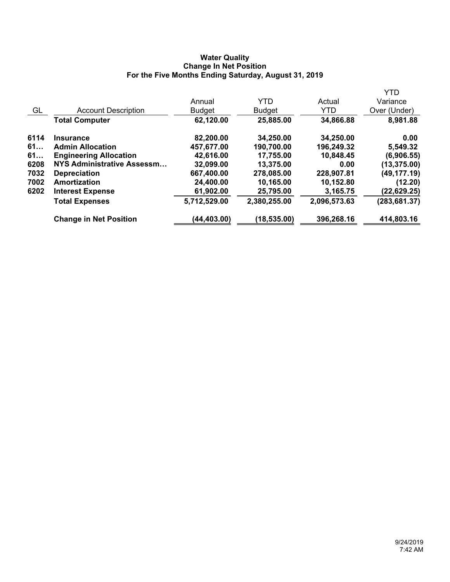## **Water Quality Change In Net Position For the Five Months Ending Saturday, August 31, 2019**

|      |                               |               |               |              | <b>YTD</b>    |
|------|-------------------------------|---------------|---------------|--------------|---------------|
|      |                               | Annual        | <b>YTD</b>    | Actual       | Variance      |
| GL   | <b>Account Description</b>    | <b>Budget</b> | <b>Budget</b> | YTD          | Over (Under)  |
|      | <b>Total Computer</b>         | 62,120.00     | 25,885.00     | 34,866.88    | 8,981.88      |
| 6114 | <b>Insurance</b>              | 82,200.00     | 34,250.00     | 34,250.00    | 0.00          |
| 61   | <b>Admin Allocation</b>       | 457,677.00    | 190,700.00    | 196,249.32   | 5,549.32      |
| 61   | <b>Engineering Allocation</b> | 42,616.00     | 17,755.00     | 10,848.45    | (6,906.55)    |
| 6208 | NYS Administrative Assessm    | 32,099.00     | 13,375.00     | 0.00         | (13, 375.00)  |
| 7032 | <b>Depreciation</b>           | 667,400.00    | 278,085.00    | 228,907.81   | (49,177.19)   |
| 7002 | Amortization                  | 24,400.00     | 10,165.00     | 10,152.80    | (12.20)       |
| 6202 | <b>Interest Expense</b>       | 61,902.00     | 25,795.00     | 3,165.75     | (22,629.25)   |
|      | <b>Total Expenses</b>         | 5,712,529.00  | 2,380,255.00  | 2,096,573.63 | (283, 681.37) |
|      | <b>Change in Net Position</b> | (44, 403.00)  | (18, 535.00)  | 396,268.16   | 414,803.16    |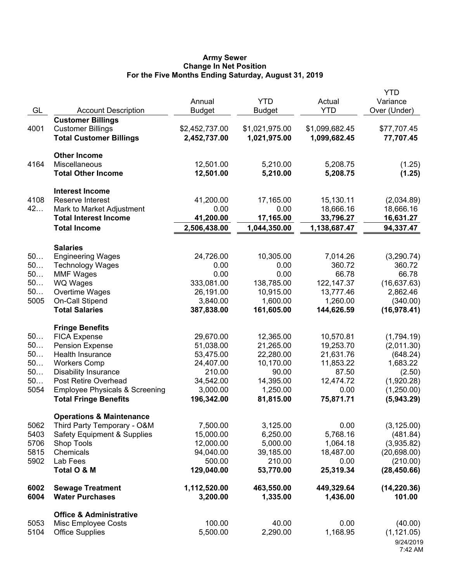### **Army Sewer Change In Net Position For the Five Months Ending Saturday, August 31, 2019**

| GL       | <b>Account Description</b>                | Annual<br><b>Budget</b> | <b>YTD</b><br><b>Budget</b> | Actual<br><b>YTD</b>     | <b>YTD</b><br>Variance<br>Over (Under) |
|----------|-------------------------------------------|-------------------------|-----------------------------|--------------------------|----------------------------------------|
|          | <b>Customer Billings</b>                  |                         |                             |                          |                                        |
| 4001     | <b>Customer Billings</b>                  | \$2,452,737.00          | \$1,021,975.00              | \$1,099,682.45           | \$77,707.45                            |
|          | <b>Total Customer Billings</b>            | 2,452,737.00            | 1,021,975.00                | 1,099,682.45             | 77,707.45                              |
|          | <b>Other Income</b>                       |                         |                             |                          |                                        |
| 4164     | Miscellaneous                             | 12,501.00               | 5,210.00                    | 5,208.75                 | (1.25)                                 |
|          | <b>Total Other Income</b>                 | 12,501.00               | 5,210.00                    | 5,208.75                 | (1.25)                                 |
|          | <b>Interest Income</b>                    |                         |                             |                          |                                        |
| 4108     | Reserve Interest                          | 41,200.00               | 17,165.00                   | 15,130.11                | (2,034.89)                             |
| 42       | Mark to Market Adjustment                 | 0.00                    | 0.00                        | 18,666.16                | 18,666.16                              |
|          | <b>Total Interest Income</b>              | 41,200.00               | 17,165.00                   | 33,796.27                | 16,631.27                              |
|          | <b>Total Income</b>                       | 2,506,438.00            | 1,044,350.00                | 1,138,687.47             | 94,337.47                              |
|          | <b>Salaries</b>                           |                         |                             |                          |                                        |
| 50       | <b>Engineering Wages</b>                  | 24,726.00               | 10,305.00                   | 7,014.26                 | (3,290.74)                             |
| 50       | <b>Technology Wages</b>                   | 0.00                    | 0.00                        | 360.72                   | 360.72                                 |
| 50       | <b>MMF Wages</b>                          | 0.00                    | 0.00                        | 66.78                    | 66.78                                  |
| 50<br>50 | <b>WQ Wages</b><br>Overtime Wages         | 333,081.00<br>26,191.00 | 138,785.00<br>10,915.00     | 122, 147.37<br>13,777.46 | (16, 637.63)<br>2,862.46               |
| 5005     | <b>On-Call Stipend</b>                    | 3,840.00                | 1,600.00                    | 1,260.00                 | (340.00)                               |
|          | <b>Total Salaries</b>                     | 387,838.00              | 161,605.00                  | 144,626.59               | (16,978.41)                            |
|          | <b>Fringe Benefits</b>                    |                         |                             |                          |                                        |
| 50       | <b>FICA Expense</b>                       | 29,670.00               | 12,365.00                   | 10,570.81                | (1,794.19)                             |
| 50       | <b>Pension Expense</b>                    | 51,038.00               | 21,265.00                   | 19,253.70                | (2,011.30)                             |
| 50       | Health Insurance                          | 53,475.00               | 22,280.00                   | 21,631.76                | (648.24)                               |
| 50       | <b>Workers Comp</b>                       | 24,407.00               | 10,170.00                   | 11,853.22                | 1,683.22                               |
| 50       | <b>Disability Insurance</b>               | 210.00                  | 90.00                       | 87.50                    | (2.50)                                 |
| 50       | Post Retire Overhead                      | 34,542.00               | 14,395.00                   | 12,474.72                | (1,920.28)                             |
| 5054     | <b>Employee Physicals &amp; Screening</b> | 3,000.00                | 1,250.00                    | 0.00                     | (1,250.00)                             |
|          | <b>Total Fringe Benefits</b>              | 196,342.00              | 81,815.00                   | 75,871.71                | (5,943.29)                             |
|          | <b>Operations &amp; Maintenance</b>       |                         |                             |                          |                                        |
| 5062     | Third Party Temporary - O&M               | 7,500.00                | 3,125.00                    | 0.00                     | (3, 125.00)                            |
| 5403     | <b>Safety Equipment &amp; Supplies</b>    | 15,000.00               | 6,250.00                    | 5,768.16                 | (481.84)                               |
| 5706     | Shop Tools                                | 12,000.00               | 5,000.00                    | 1,064.18                 | (3,935.82)                             |
| 5815     | Chemicals                                 | 94,040.00               | 39,185.00                   | 18,487.00                | (20, 698.00)                           |
| 5902     | Lab Fees<br>Total O & M                   | 500.00<br>129,040.00    | 210.00<br>53,770.00         | 0.00<br>25,319.34        | (210.00)<br>(28, 450.66)               |
| 6002     | <b>Sewage Treatment</b>                   | 1,112,520.00            | 463,550.00                  | 449,329.64               | (14, 220.36)                           |
| 6004     | <b>Water Purchases</b>                    | 3,200.00                | 1,335.00                    | 1,436.00                 | 101.00                                 |
|          | <b>Office &amp; Administrative</b>        |                         |                             |                          |                                        |
| 5053     | Misc Employee Costs                       | 100.00                  | 40.00                       | 0.00                     | (40.00)                                |
| 5104     | <b>Office Supplies</b>                    | 5,500.00                | 2,290.00                    | 1,168.95                 | (1, 121.05)                            |
|          |                                           |                         |                             |                          | 9/24/2019                              |
|          |                                           |                         |                             |                          | 7:42 AM                                |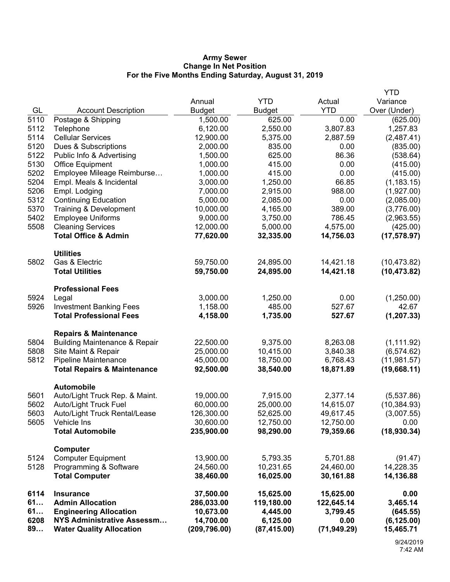## **Army Sewer Change In Net Position For the Five Months Ending Saturday, August 31, 2019**

|              |                                                        |                         |                        |                        | <b>YTD</b>                 |
|--------------|--------------------------------------------------------|-------------------------|------------------------|------------------------|----------------------------|
|              |                                                        | Annual                  | <b>YTD</b>             | Actual                 | Variance                   |
| GL           | <b>Account Description</b>                             | <b>Budget</b>           | <b>Budget</b>          | <b>YTD</b>             | Over (Under)               |
| 5110         | Postage & Shipping                                     | 1,500.00                | 625.00                 | 0.00                   | (625.00)                   |
| 5112         | Telephone                                              | 6,120.00                | 2,550.00               | 3,807.83               | 1,257.83                   |
| 5114         | <b>Cellular Services</b>                               | 12,900.00               | 5,375.00               | 2,887.59               | (2,487.41)                 |
| 5120         | Dues & Subscriptions                                   | 2,000.00                | 835.00                 | 0.00                   | (835.00)                   |
| 5122         | Public Info & Advertising                              | 1,500.00                | 625.00                 | 86.36                  | (538.64)                   |
| 5130         | <b>Office Equipment</b>                                | 1,000.00                | 415.00                 | 0.00                   | (415.00)                   |
| 5202         | Employee Mileage Reimburse                             | 1,000.00                | 415.00                 | 0.00                   | (415.00)                   |
| 5204         | Empl. Meals & Incidental                               | 3,000.00                | 1,250.00               | 66.85                  | (1, 183.15)                |
| 5206         | Empl. Lodging                                          | 7,000.00                | 2,915.00               | 988.00                 | (1,927.00)                 |
| 5312         | <b>Continuing Education</b>                            | 5,000.00                | 2,085.00               | 0.00                   | (2,085.00)                 |
| 5370         | Training & Development                                 | 10,000.00               | 4,165.00               | 389.00                 | (3,776.00)                 |
| 5402         | <b>Employee Uniforms</b>                               | 9,000.00                | 3,750.00               | 786.45                 | (2,963.55)                 |
| 5508         | <b>Cleaning Services</b>                               | 12,000.00               | 5,000.00               | 4,575.00               | (425.00)                   |
|              | <b>Total Office &amp; Admin</b>                        | 77,620.00               | 32,335.00              | 14,756.03              | (17, 578.97)               |
|              | <b>Utilities</b>                                       |                         |                        |                        |                            |
| 5802         | Gas & Electric                                         | 59,750.00               | 24,895.00              | 14,421.18              | (10, 473.82)               |
|              | <b>Total Utilities</b>                                 | 59,750.00               | 24,895.00              | 14,421.18              | (10, 473.82)               |
|              | <b>Professional Fees</b>                               |                         |                        |                        |                            |
| 5924         | Legal                                                  | 3,000.00                | 1,250.00               | 0.00                   | (1,250.00)                 |
| 5926         | <b>Investment Banking Fees</b>                         | 1,158.00                | 485.00                 | 527.67                 | 42.67                      |
|              | <b>Total Professional Fees</b>                         | 4,158.00                | 1,735.00               | 527.67                 | (1, 207.33)                |
|              | <b>Repairs &amp; Maintenance</b>                       |                         |                        |                        |                            |
| 5804         | <b>Building Maintenance &amp; Repair</b>               | 22,500.00               | 9,375.00               | 8,263.08               | (1, 111.92)                |
| 5808         | Site Maint & Repair                                    | 25,000.00               | 10,415.00              | 3,840.38               | (6, 574.62)                |
| 5812         | Pipeline Maintenance                                   | 45,000.00               | 18,750.00              | 6,768.43               | (11,981.57)                |
|              | <b>Total Repairs &amp; Maintenance</b>                 | 92,500.00               | 38,540.00              | 18,871.89              | (19,668.11)                |
|              |                                                        |                         |                        |                        |                            |
|              | <b>Automobile</b>                                      |                         |                        |                        |                            |
| 5601         | Auto/Light Truck Rep. & Maint.                         | 19,000.00               | 7,915.00               | 2,377.14               | (5,537.86)                 |
| 5602<br>5603 | Auto/Light Truck Fuel<br>Auto/Light Truck Rental/Lease | 60,000.00<br>126,300.00 | 25,000.00<br>52,625.00 | 14,615.07<br>49,617.45 | (10, 384.93)<br>(3,007.55) |
| 5605         | Vehicle Ins                                            | 30,600.00               | 12,750.00              | 12,750.00              | 0.00                       |
|              | <b>Total Automobile</b>                                | 235,900.00              | 98,290.00              | 79,359.66              | (18,930.34)                |
|              |                                                        |                         |                        |                        |                            |
|              | Computer                                               |                         |                        |                        |                            |
| 5124         | <b>Computer Equipment</b>                              | 13,900.00               | 5,793.35               | 5,701.88               | (91.47)                    |
| 5128         | Programming & Software                                 | 24,560.00               | 10,231.65              | 24,460.00              | 14,228.35                  |
|              | <b>Total Computer</b>                                  | 38,460.00               | 16,025.00              | 30,161.88              | 14,136.88                  |
| 6114         | <b>Insurance</b>                                       | 37,500.00               | 15,625.00              | 15,625.00              | 0.00                       |
| 61           | <b>Admin Allocation</b>                                | 286,033.00              | 119,180.00             | 122,645.14             | 3,465.14                   |
| 61           | <b>Engineering Allocation</b>                          | 10,673.00               | 4,445.00               | 3,799.45               | (645.55)                   |
| 6208         | <b>NYS Administrative Assessm</b>                      | 14,700.00               | 6,125.00               | 0.00                   | (6, 125.00)                |
| 89           | <b>Water Quality Allocation</b>                        | (209, 796.00)           | (87, 415.00)           | (71, 949.29)           | 15,465.71                  |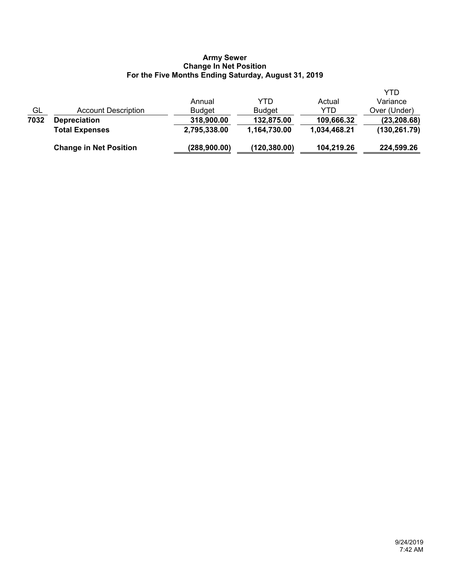## **Army Sewer Change In Net Position For the Five Months Ending Saturday, August 31, 2019**

|      | <b>Change in Net Position</b> | (288,900.00)  | (120, 380.00) | 104,219.26   | 224,599.26    |
|------|-------------------------------|---------------|---------------|--------------|---------------|
|      | <b>Total Expenses</b>         | 2,795,338.00  | 1,164,730.00  | 1,034,468.21 | (130, 261.79) |
| 7032 | <b>Depreciation</b>           | 318,900.00    | 132,875.00    | 109,666.32   | (23, 208.68)  |
| GL   | Account Description           | <b>Budget</b> | <b>Budget</b> | YTD          | Over (Under)  |
|      |                               | Annual        | YTD           | Actual       | Variance      |
|      |                               |               |               |              | YTD           |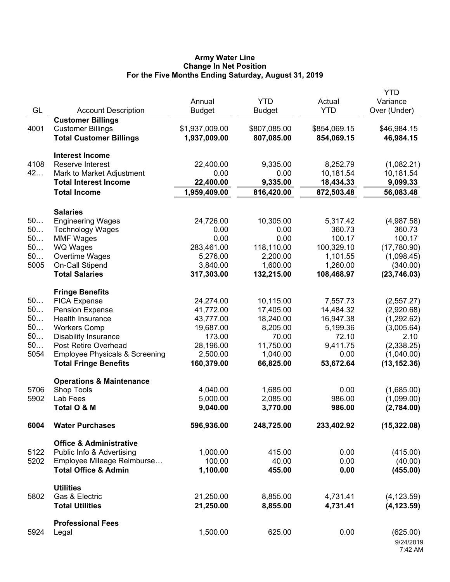## **Army Water Line Change In Net Position For the Five Months Ending Saturday, August 31, 2019**

|      |                                           |                |               |              | <b>YTD</b>   |
|------|-------------------------------------------|----------------|---------------|--------------|--------------|
|      |                                           | Annual         | <b>YTD</b>    | Actual       | Variance     |
| GL   | <b>Account Description</b>                | <b>Budget</b>  | <b>Budget</b> | <b>YTD</b>   | Over (Under) |
|      | <b>Customer Billings</b>                  |                |               |              |              |
| 4001 | <b>Customer Billings</b>                  | \$1,937,009.00 | \$807,085.00  | \$854,069.15 | \$46,984.15  |
|      | <b>Total Customer Billings</b>            | 1,937,009.00   | 807,085.00    | 854,069.15   | 46,984.15    |
|      |                                           |                |               |              |              |
|      | <b>Interest Income</b>                    |                |               |              |              |
| 4108 | Reserve Interest                          | 22,400.00      | 9,335.00      | 8,252.79     | (1,082.21)   |
| 42   | Mark to Market Adjustment                 | 0.00           | 0.00          | 10,181.54    | 10,181.54    |
|      | <b>Total Interest Income</b>              | 22,400.00      | 9,335.00      | 18,434.33    | 9,099.33     |
|      | <b>Total Income</b>                       | 1,959,409.00   | 816,420.00    | 872,503.48   | 56,083.48    |
|      |                                           |                |               |              |              |
|      | <b>Salaries</b>                           |                |               |              |              |
| 50   | <b>Engineering Wages</b>                  | 24,726.00      | 10,305.00     | 5,317.42     | (4,987.58)   |
| 50   | <b>Technology Wages</b>                   | 0.00           | 0.00          | 360.73       | 360.73       |
| 50   | <b>MMF Wages</b>                          | 0.00           | 0.00          | 100.17       | 100.17       |
| 50   | WQ Wages                                  | 283,461.00     | 118,110.00    | 100,329.10   | (17,780.90)  |
| 50   | Overtime Wages                            | 5,276.00       | 2,200.00      | 1,101.55     | (1,098.45)   |
| 5005 | On-Call Stipend                           | 3,840.00       | 1,600.00      | 1,260.00     | (340.00)     |
|      | <b>Total Salaries</b>                     | 317,303.00     | 132,215.00    | 108,468.97   | (23,746.03)  |
|      |                                           |                |               |              |              |
|      | <b>Fringe Benefits</b>                    |                |               |              |              |
| 50   | <b>FICA Expense</b>                       | 24,274.00      | 10,115.00     | 7,557.73     | (2,557.27)   |
| 50   | <b>Pension Expense</b>                    | 41,772.00      | 17,405.00     | 14,484.32    | (2,920.68)   |
| 50   | Health Insurance                          | 43,777.00      | 18,240.00     | 16,947.38    | (1,292.62)   |
| 50   | <b>Workers Comp</b>                       | 19,687.00      | 8,205.00      | 5,199.36     | (3,005.64)   |
| 50   | <b>Disability Insurance</b>               | 173.00         | 70.00         | 72.10        | 2.10         |
| 50   | Post Retire Overhead                      | 28,196.00      | 11,750.00     | 9,411.75     | (2,338.25)   |
| 5054 | <b>Employee Physicals &amp; Screening</b> | 2,500.00       | 1,040.00      | 0.00         | (1,040.00)   |
|      | <b>Total Fringe Benefits</b>              | 160,379.00     | 66,825.00     | 53,672.64    | (13, 152.36) |
|      |                                           |                |               |              |              |
|      | <b>Operations &amp; Maintenance</b>       |                |               |              |              |
| 5706 | Shop Tools                                | 4,040.00       | 1,685.00      | 0.00         | (1,685.00)   |
| 5902 | Lab Fees                                  | 5,000.00       | 2,085.00      | 986.00       | (1,099.00)   |
|      | Total O & M                               | 9,040.00       | 3,770.00      | 986.00       | (2,784.00)   |
| 6004 | <b>Water Purchases</b>                    | 596,936.00     | 248,725.00    | 233,402.92   | (15, 322.08) |
|      | <b>Office &amp; Administrative</b>        |                |               |              |              |
| 5122 | Public Info & Advertising                 | 1,000.00       | 415.00        | 0.00         | (415.00)     |
| 5202 | Employee Mileage Reimburse                | 100.00         | 40.00         | 0.00         |              |
|      |                                           |                |               |              | (40.00)      |
|      | <b>Total Office &amp; Admin</b>           | 1,100.00       | 455.00        | 0.00         | (455.00)     |
|      | <b>Utilities</b>                          |                |               |              |              |
| 5802 | Gas & Electric                            | 21,250.00      | 8,855.00      | 4,731.41     | (4, 123.59)  |
|      | <b>Total Utilities</b>                    | 21,250.00      | 8,855.00      | 4,731.41     | (4, 123.59)  |
|      |                                           |                |               |              |              |
|      | <b>Professional Fees</b>                  |                |               |              |              |
| 5924 | Legal                                     | 1,500.00       | 625.00        | 0.00         | (625.00)     |
|      |                                           |                |               |              | 9/24/2019    |
|      |                                           |                |               |              | 7:42 AM      |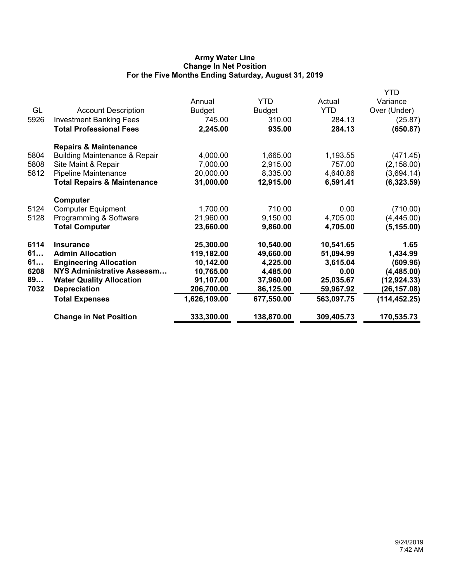# **Army Water Line Change In Net Position For the Five Months Ending Saturday, August 31, 2019**

|      |                                          |               |               |            | YTD           |
|------|------------------------------------------|---------------|---------------|------------|---------------|
|      |                                          | Annual        | <b>YTD</b>    | Actual     | Variance      |
| GL   | <b>Account Description</b>               | <b>Budget</b> | <b>Budget</b> | <b>YTD</b> | Over (Under)  |
| 5926 | <b>Investment Banking Fees</b>           | 745.00        | 310.00        | 284.13     | (25.87)       |
|      | <b>Total Professional Fees</b>           | 2,245.00      | 935.00        | 284.13     | (650.87)      |
|      | <b>Repairs &amp; Maintenance</b>         |               |               |            |               |
| 5804 | <b>Building Maintenance &amp; Repair</b> | 4,000.00      | 1,665.00      | 1,193.55   | (471.45)      |
| 5808 | Site Maint & Repair                      | 7,000.00      | 2,915.00      | 757.00     | (2, 158.00)   |
| 5812 | <b>Pipeline Maintenance</b>              | 20,000.00     | 8,335.00      | 4,640.86   | (3,694.14)    |
|      | <b>Total Repairs &amp; Maintenance</b>   | 31,000.00     | 12,915.00     | 6,591.41   | (6,323.59)    |
|      | Computer                                 |               |               |            |               |
| 5124 | <b>Computer Equipment</b>                | 1,700.00      | 710.00        | 0.00       | (710.00)      |
| 5128 | Programming & Software                   | 21,960.00     | 9,150.00      | 4,705.00   | (4,445.00)    |
|      | <b>Total Computer</b>                    | 23,660.00     | 9,860.00      | 4,705.00   | (5, 155.00)   |
| 6114 | <b>Insurance</b>                         | 25,300.00     | 10,540.00     | 10,541.65  | 1.65          |
| 61   | <b>Admin Allocation</b>                  | 119,182.00    | 49,660.00     | 51,094.99  | 1,434.99      |
| 61   | <b>Engineering Allocation</b>            | 10,142.00     | 4,225.00      | 3,615.04   | (609.96)      |
| 6208 | <b>NYS Administrative Assessm</b>        | 10,765.00     | 4,485.00      | 0.00       | (4,485.00)    |
| 89   | <b>Water Quality Allocation</b>          | 91,107.00     | 37,960.00     | 25,035.67  | (12, 924.33)  |
| 7032 | <b>Depreciation</b>                      | 206,700.00    | 86,125.00     | 59,967.92  | (26, 157.08)  |
|      | <b>Total Expenses</b>                    | 1,626,109.00  | 677,550.00    | 563,097.75 | (114, 452.25) |
|      | <b>Change in Net Position</b>            | 333,300.00    | 138,870.00    | 309,405.73 | 170,535.73    |
|      |                                          |               |               |            |               |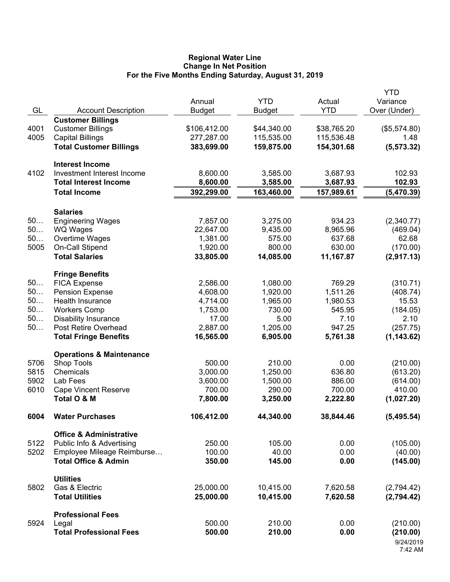## **Regional Water Line Change In Net Position For the Five Months Ending Saturday, August 31, 2019**

|          |                                                     | Annual                | <b>YTD</b>       | Actual         | <b>YTD</b><br>Variance  |
|----------|-----------------------------------------------------|-----------------------|------------------|----------------|-------------------------|
| GL       | <b>Account Description</b>                          | <b>Budget</b>         | <b>Budget</b>    | <b>YTD</b>     | Over (Under)            |
|          | <b>Customer Billings</b>                            |                       |                  |                |                         |
| 4001     | <b>Customer Billings</b>                            | \$106,412.00          | \$44,340.00      | \$38,765.20    | (\$5,574.80)            |
| 4005     | <b>Capital Billings</b>                             | 277,287.00            | 115,535.00       | 115,536.48     | 1.48                    |
|          | <b>Total Customer Billings</b>                      | 383,699.00            | 159,875.00       | 154,301.68     | (5, 573.32)             |
|          | <b>Interest Income</b>                              |                       |                  |                |                         |
| 4102     | Investment Interest Income                          | 8,600.00              | 3,585.00         | 3,687.93       | 102.93                  |
|          | <b>Total Interest Income</b>                        | 8,600.00              | 3,585.00         | 3,687.93       | 102.93                  |
|          | <b>Total Income</b>                                 | 392,299.00            | 163,460.00       | 157,989.61     | (5,470.39)              |
|          | <b>Salaries</b>                                     |                       |                  |                |                         |
| 50       | <b>Engineering Wages</b>                            | 7,857.00              | 3,275.00         | 934.23         | (2,340.77)              |
| 50       | <b>WQ Wages</b>                                     | 22,647.00             | 9,435.00         | 8,965.96       | (469.04)                |
| 50       | Overtime Wages                                      | 1,381.00              | 575.00           | 637.68         | 62.68                   |
| 5005     | On-Call Stipend                                     | 1,920.00              | 800.00           | 630.00         | (170.00)                |
|          | <b>Total Salaries</b>                               | 33,805.00             | 14,085.00        | 11,167.87      | (2,917.13)              |
|          | <b>Fringe Benefits</b>                              |                       |                  |                |                         |
| 50       | <b>FICA Expense</b>                                 | 2,586.00              | 1,080.00         | 769.29         | (310.71)                |
| 50       | <b>Pension Expense</b>                              | 4,608.00              | 1,920.00         | 1,511.26       | (408.74)                |
| 50       | <b>Health Insurance</b>                             | 4,714.00              | 1,965.00         | 1,980.53       | 15.53                   |
| 50<br>50 | <b>Workers Comp</b>                                 | 1,753.00              | 730.00           | 545.95         | (184.05)                |
| $50$     | <b>Disability Insurance</b><br>Post Retire Overhead | 17.00                 | 5.00<br>1,205.00 | 7.10<br>947.25 | 2.10                    |
|          | <b>Total Fringe Benefits</b>                        | 2,887.00<br>16,565.00 | 6,905.00         | 5,761.38       | (257.75)<br>(1, 143.62) |
|          | <b>Operations &amp; Maintenance</b>                 |                       |                  |                |                         |
| 5706     | Shop Tools                                          | 500.00                | 210.00           | 0.00           | (210.00)                |
| 5815     | Chemicals                                           | 3,000.00              | 1,250.00         | 636.80         | (613.20)                |
| 5902     | Lab Fees                                            | 3,600.00              | 1,500.00         | 886.00         | (614.00)                |
| 6010     | <b>Cape Vincent Reserve</b>                         | 700.00                | 290.00           | 700.00         | 410.00                  |
|          | Total O & M                                         | 7,800.00              | 3,250.00         | 2,222.80       | (1,027.20)              |
| 6004     | <b>Water Purchases</b>                              | 106,412.00            | 44,340.00        | 38,844.46      | (5,495.54)              |
|          | <b>Office &amp; Administrative</b>                  |                       |                  |                |                         |
| 5122     | Public Info & Advertising                           | 250.00                | 105.00           | 0.00           | (105.00)                |
| 5202     | Employee Mileage Reimburse                          | 100.00                | 40.00            | 0.00           | (40.00)                 |
|          | <b>Total Office &amp; Admin</b>                     | 350.00                | 145.00           | 0.00           | (145.00)                |
|          | <b>Utilities</b>                                    |                       |                  |                |                         |
| 5802     | Gas & Electric                                      | 25,000.00             | 10,415.00        | 7,620.58       | (2,794.42)              |
|          | <b>Total Utilities</b>                              | 25,000.00             | 10,415.00        | 7,620.58       | (2,794.42)              |
|          | <b>Professional Fees</b>                            |                       |                  |                |                         |
| 5924     | Legal                                               | 500.00                | 210.00           | 0.00           | (210.00)                |
|          | <b>Total Professional Fees</b>                      | 500.00                | 210.00           | 0.00           | (210.00)                |
|          |                                                     |                       |                  |                | 9/24/2019<br>7:42 AM    |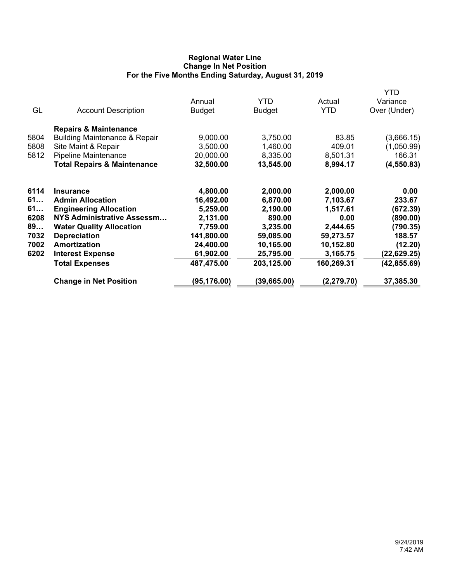# **Regional Water Line Change In Net Position For the Five Months Ending Saturday, August 31, 2019**

|                                |                                                                                                                                               | Annual                                                    | <b>YTD</b>                                             | Actual                                               | YTD<br>Variance                                    |
|--------------------------------|-----------------------------------------------------------------------------------------------------------------------------------------------|-----------------------------------------------------------|--------------------------------------------------------|------------------------------------------------------|----------------------------------------------------|
| GL                             | <b>Account Description</b>                                                                                                                    | <b>Budget</b>                                             | <b>Budget</b>                                          | <b>YTD</b>                                           | Over (Under)                                       |
|                                | <b>Repairs &amp; Maintenance</b>                                                                                                              |                                                           |                                                        |                                                      |                                                    |
| 5804                           | <b>Building Maintenance &amp; Repair</b>                                                                                                      | 9,000.00                                                  | 3,750.00                                               | 83.85                                                | (3,666.15)                                         |
| 5808                           | Site Maint & Repair                                                                                                                           | 3,500.00                                                  | 1,460.00                                               | 409.01                                               | (1,050.99)                                         |
| 5812                           | <b>Pipeline Maintenance</b>                                                                                                                   | 20,000.00                                                 | 8,335.00                                               | 8,501.31                                             | 166.31                                             |
|                                | <b>Total Repairs &amp; Maintenance</b>                                                                                                        | 32,500.00                                                 | 13,545.00                                              | 8,994.17                                             | (4, 550.83)                                        |
| 6114<br>61<br>61<br>6208<br>89 | <b>Insurance</b><br><b>Admin Allocation</b><br><b>Engineering Allocation</b><br>NYS Administrative Assessm<br><b>Water Quality Allocation</b> | 4,800.00<br>16,492.00<br>5,259.00<br>2,131.00<br>7,759.00 | 2,000.00<br>6,870.00<br>2,190.00<br>890.00<br>3,235.00 | 2,000.00<br>7,103.67<br>1,517.61<br>0.00<br>2,444.65 | 0.00<br>233.67<br>(672.39)<br>(890.00)<br>(790.35) |
| 7032                           | <b>Depreciation</b>                                                                                                                           | 141,800.00                                                | 59,085.00                                              | 59,273.57                                            | 188.57                                             |
| 7002                           | Amortization                                                                                                                                  | 24,400.00                                                 | 10,165.00                                              | 10,152.80                                            | (12.20)                                            |
| 6202                           | <b>Interest Expense</b>                                                                                                                       | 61,902.00                                                 | 25,795.00                                              | 3,165.75                                             | (22,629.25)                                        |
|                                | <b>Total Expenses</b>                                                                                                                         | 487,475.00                                                | 203,125.00                                             | 160,269.31                                           | (42, 855.69)                                       |
|                                | <b>Change in Net Position</b>                                                                                                                 | (95, 176.00)                                              | (39, 665.00)                                           | (2, 279.70)                                          | 37,385.30                                          |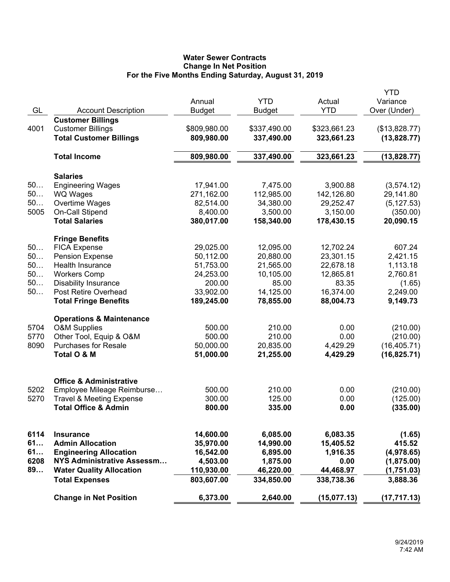# **Water Sewer Contracts Change In Net Position For the Five Months Ending Saturday, August 31, 2019**

|      |                                     |               |               |              | <b>YTD</b>    |
|------|-------------------------------------|---------------|---------------|--------------|---------------|
|      |                                     | Annual        | <b>YTD</b>    | Actual       | Variance      |
| GL   | <b>Account Description</b>          | <b>Budget</b> | <b>Budget</b> | <b>YTD</b>   | Over (Under)  |
|      | <b>Customer Billings</b>            |               |               |              |               |
| 4001 | <b>Customer Billings</b>            | \$809,980.00  | \$337,490.00  | \$323,661.23 | (\$13,828.77) |
|      | <b>Total Customer Billings</b>      | 809,980.00    | 337,490.00    | 323,661.23   | (13,828.77)   |
|      |                                     |               |               |              |               |
|      | <b>Total Income</b>                 | 809,980.00    | 337,490.00    | 323,661.23   | (13,828.77)   |
|      |                                     |               |               |              |               |
|      | <b>Salaries</b>                     |               |               |              |               |
| 50   | <b>Engineering Wages</b>            | 17,941.00     | 7,475.00      | 3,900.88     | (3,574.12)    |
| 50   | <b>WQ Wages</b>                     | 271,162.00    | 112,985.00    | 142,126.80   | 29,141.80     |
| 50   | Overtime Wages                      | 82,514.00     | 34,380.00     | 29,252.47    | (5, 127.53)   |
| 5005 | On-Call Stipend                     | 8,400.00      | 3,500.00      | 3,150.00     | (350.00)      |
|      | <b>Total Salaries</b>               | 380,017.00    | 158,340.00    | 178,430.15   | 20,090.15     |
|      | <b>Fringe Benefits</b>              |               |               |              |               |
| 50   | <b>FICA Expense</b>                 | 29,025.00     | 12,095.00     | 12,702.24    | 607.24        |
| 50   | <b>Pension Expense</b>              | 50,112.00     | 20,880.00     | 23,301.15    | 2,421.15      |
| 50   | <b>Health Insurance</b>             | 51,753.00     | 21,565.00     | 22,678.18    | 1,113.18      |
| 50   | <b>Workers Comp</b>                 | 24,253.00     | 10,105.00     | 12,865.81    | 2,760.81      |
| 50   | <b>Disability Insurance</b>         | 200.00        | 85.00         | 83.35        | (1.65)        |
| 50   | Post Retire Overhead                | 33,902.00     | 14,125.00     | 16,374.00    | 2,249.00      |
|      | <b>Total Fringe Benefits</b>        | 189,245.00    | 78,855.00     | 88,004.73    | 9,149.73      |
|      |                                     |               |               |              |               |
|      | <b>Operations &amp; Maintenance</b> |               |               |              |               |
| 5704 | <b>O&amp;M Supplies</b>             | 500.00        | 210.00        | 0.00         | (210.00)      |
| 5770 | Other Tool, Equip & O&M             | 500.00        | 210.00        | 0.00         | (210.00)      |
| 8090 | <b>Purchases for Resale</b>         | 50,000.00     | 20,835.00     | 4,429.29     | (16, 405.71)  |
|      | Total O & M                         | 51,000.00     | 21,255.00     | 4,429.29     | (16, 825.71)  |
|      |                                     |               |               |              |               |
|      | <b>Office &amp; Administrative</b>  |               |               |              |               |
| 5202 | Employee Mileage Reimburse          | 500.00        | 210.00        | 0.00         | (210.00)      |
| 5270 | <b>Travel &amp; Meeting Expense</b> | 300.00        | 125.00        | 0.00         | (125.00)      |
|      | <b>Total Office &amp; Admin</b>     | 800.00        | 335.00        | 0.00         | (335.00)      |
|      |                                     |               |               |              |               |
| 6114 | <b>Insurance</b>                    | 14,600.00     | 6,085.00      | 6,083.35     | (1.65)        |
| 61   | <b>Admin Allocation</b>             | 35,970.00     | 14,990.00     | 15,405.52    | 415.52        |
| 61   | <b>Engineering Allocation</b>       | 16,542.00     | 6,895.00      | 1,916.35     | (4,978.65)    |
| 6208 | NYS Administrative Assessm          | 4,503.00      | 1,875.00      | 0.00         | (1,875.00)    |
| 89   | <b>Water Quality Allocation</b>     | 110,930.00    | 46,220.00     | 44,468.97    | (1,751.03)    |
|      | <b>Total Expenses</b>               | 803,607.00    | 334,850.00    | 338,738.36   | 3,888.36      |
|      | <b>Change in Net Position</b>       | 6,373.00      |               |              | (17, 717.13)  |
|      |                                     |               | 2,640.00      | (15, 077.13) |               |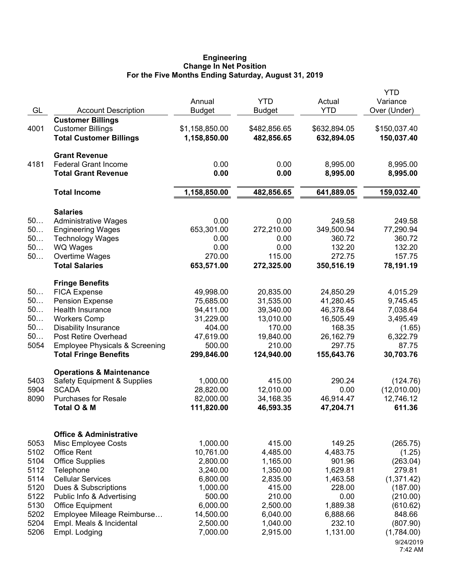## **Engineering Change In Net Position For the Five Months Ending Saturday, August 31, 2019**

|      |                                                                  |                         |                        |                        | <b>YTD</b>          |
|------|------------------------------------------------------------------|-------------------------|------------------------|------------------------|---------------------|
|      |                                                                  | Annual                  | <b>YTD</b>             | Actual                 | Variance            |
| GL   | <b>Account Description</b>                                       | <b>Budget</b>           | <b>Budget</b>          | <b>YTD</b>             | Over (Under)        |
|      | <b>Customer Billings</b>                                         |                         |                        |                        |                     |
| 4001 | <b>Customer Billings</b>                                         | \$1,158,850.00          | \$482,856.65           | \$632,894.05           | \$150,037.40        |
|      | <b>Total Customer Billings</b>                                   | 1,158,850.00            | 482,856.65             | 632,894.05             | 150,037.40          |
|      | <b>Grant Revenue</b>                                             |                         |                        |                        |                     |
| 4181 | <b>Federal Grant Income</b>                                      | 0.00                    | 0.00                   | 8,995.00               | 8,995.00            |
|      | <b>Total Grant Revenue</b>                                       | 0.00                    | 0.00                   | 8,995.00               | 8,995.00            |
|      | <b>Total Income</b>                                              | 1,158,850.00            | 482,856.65             | 641,889.05             | 159,032.40          |
|      | <b>Salaries</b>                                                  |                         |                        |                        |                     |
| 50   | <b>Administrative Wages</b>                                      | 0.00                    | 0.00                   | 249.58                 | 249.58              |
| 50   | <b>Engineering Wages</b>                                         | 653,301.00              | 272,210.00             | 349,500.94             | 77,290.94           |
| 50   | <b>Technology Wages</b>                                          | 0.00                    | 0.00                   | 360.72                 | 360.72              |
| 50   | <b>WQ Wages</b>                                                  | 0.00                    | 0.00                   | 132.20                 | 132.20              |
| 50   | Overtime Wages                                                   | 270.00                  | 115.00                 | 272.75                 | 157.75              |
|      | <b>Total Salaries</b>                                            | 653,571.00              | 272,325.00             | 350,516.19             | 78,191.19           |
|      | <b>Fringe Benefits</b>                                           |                         |                        |                        |                     |
| 50   | <b>FICA Expense</b>                                              | 49,998.00               | 20,835.00              | 24,850.29              | 4,015.29            |
| 50   | <b>Pension Expense</b>                                           | 75,685.00               | 31,535.00              | 41,280.45              | 9,745.45            |
| 50   | Health Insurance                                                 | 94,411.00               | 39,340.00              | 46,378.64              | 7,038.64            |
| 50   | <b>Workers Comp</b>                                              | 31,229.00               | 13,010.00              | 16,505.49              | 3,495.49            |
| 50   | <b>Disability Insurance</b>                                      | 404.00                  | 170.00                 | 168.35                 | (1.65)              |
| 50   | Post Retire Overhead                                             | 47,619.00               | 19,840.00              | 26,162.79              | 6,322.79            |
| 5054 | <b>Employee Physicals &amp; Screening</b>                        | 500.00                  | 210.00                 | 297.75                 | 87.75               |
|      | <b>Total Fringe Benefits</b>                                     | 299,846.00              | 124,940.00             | 155,643.76             | 30,703.76           |
|      | <b>Operations &amp; Maintenance</b>                              |                         |                        |                        |                     |
| 5403 | <b>Safety Equipment &amp; Supplies</b>                           | 1,000.00                | 415.00                 | 290.24                 | (124.76)            |
| 5904 | <b>SCADA</b><br><b>Purchases for Resale</b>                      | 28,820.00               | 12,010.00              | 0.00                   | (12,010.00)         |
| 8090 | Total O & M                                                      | 82,000.00<br>111,820.00 | 34,168.35<br>46,593.35 | 46,914.47<br>47,204.71 | 12,746.12<br>611.36 |
|      |                                                                  |                         |                        |                        |                     |
| 5053 | <b>Office &amp; Administrative</b><br><b>Misc Employee Costs</b> | 1,000.00                | 415.00                 | 149.25                 | (265.75)            |
| 5102 | <b>Office Rent</b>                                               | 10,761.00               | 4,485.00               | 4,483.75               | (1.25)              |
| 5104 | <b>Office Supplies</b>                                           | 2,800.00                | 1,165.00               | 901.96                 | (263.04)            |
| 5112 | Telephone                                                        | 3,240.00                | 1,350.00               | 1,629.81               | 279.81              |
| 5114 | <b>Cellular Services</b>                                         | 6,800.00                | 2,835.00               | 1,463.58               | (1,371.42)          |
| 5120 | Dues & Subscriptions                                             | 1,000.00                | 415.00                 | 228.00                 | (187.00)            |
| 5122 | Public Info & Advertising                                        | 500.00                  | 210.00                 | 0.00                   | (210.00)            |
| 5130 | <b>Office Equipment</b>                                          | 6,000.00                | 2,500.00               | 1,889.38               | (610.62)            |
| 5202 | Employee Mileage Reimburse                                       | 14,500.00               | 6,040.00               | 6,888.66               | 848.66              |
| 5204 | Empl. Meals & Incidental                                         | 2,500.00                | 1,040.00               | 232.10                 | (807.90)            |
| 5206 | Empl. Lodging                                                    | 7,000.00                | 2,915.00               | 1,131.00               | (1,784.00)          |
|      |                                                                  |                         |                        |                        | 9/24/2019           |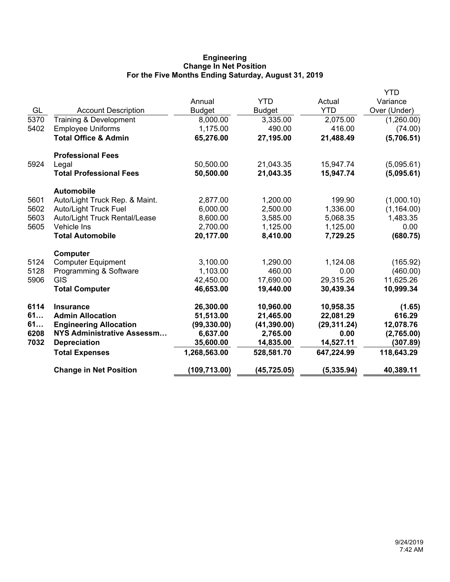# **Engineering Change In Net Position For the Five Months Ending Saturday, August 31, 2019**

|      |                                 |               |               |              | YTD          |
|------|---------------------------------|---------------|---------------|--------------|--------------|
|      |                                 | Annual        | <b>YTD</b>    | Actual       | Variance     |
| GL   | <b>Account Description</b>      | <b>Budget</b> | <b>Budget</b> | <b>YTD</b>   | Over (Under) |
| 5370 | Training & Development          | 8,000.00      | 3,335.00      | 2,075.00     | (1,260.00)   |
| 5402 | <b>Employee Uniforms</b>        | 1,175.00      | 490.00        | 416.00       | (74.00)      |
|      | <b>Total Office &amp; Admin</b> | 65,276.00     | 27,195.00     | 21,488.49    | (5,706.51)   |
|      | <b>Professional Fees</b>        |               |               |              |              |
| 5924 | Legal                           | 50,500.00     | 21,043.35     | 15,947.74    | (5,095.61)   |
|      | <b>Total Professional Fees</b>  | 50,500.00     | 21,043.35     | 15,947.74    | (5,095.61)   |
|      | <b>Automobile</b>               |               |               |              |              |
| 5601 | Auto/Light Truck Rep. & Maint.  | 2,877.00      | 1,200.00      | 199.90       | (1,000.10)   |
| 5602 | <b>Auto/Light Truck Fuel</b>    | 6,000.00      | 2,500.00      | 1,336.00     | (1, 164.00)  |
| 5603 | Auto/Light Truck Rental/Lease   | 8,600.00      | 3,585.00      | 5,068.35     | 1,483.35     |
| 5605 | Vehicle Ins                     | 2,700.00      | 1,125.00      | 1,125.00     | 0.00         |
|      | <b>Total Automobile</b>         | 20,177.00     | 8,410.00      | 7,729.25     | (680.75)     |
|      | <b>Computer</b>                 |               |               |              |              |
| 5124 | <b>Computer Equipment</b>       | 3,100.00      | 1,290.00      | 1,124.08     | (165.92)     |
| 5128 | Programming & Software          | 1,103.00      | 460.00        | 0.00         | (460.00)     |
| 5906 | <b>GIS</b>                      | 42,450.00     | 17,690.00     | 29,315.26    | 11,625.26    |
|      | <b>Total Computer</b>           | 46,653.00     | 19,440.00     | 30,439.34    | 10,999.34    |
| 6114 | <b>Insurance</b>                | 26,300.00     | 10,960.00     | 10,958.35    | (1.65)       |
| 61   | <b>Admin Allocation</b>         | 51,513.00     | 21,465.00     | 22,081.29    | 616.29       |
| 61   | <b>Engineering Allocation</b>   | (99, 330.00)  | (41, 390.00)  | (29, 311.24) | 12,078.76    |
| 6208 | NYS Administrative Assessm      | 6,637.00      | 2,765.00      | 0.00         | (2,765.00)   |
| 7032 | <b>Depreciation</b>             | 35,600.00     | 14,835.00     | 14,527.11    | (307.89)     |
|      | <b>Total Expenses</b>           | 1,268,563.00  | 528,581.70    | 647,224.99   | 118,643.29   |
|      | <b>Change in Net Position</b>   | (109, 713.00) | (45, 725.05)  | (5, 335.94)  | 40,389.11    |
|      |                                 |               |               |              |              |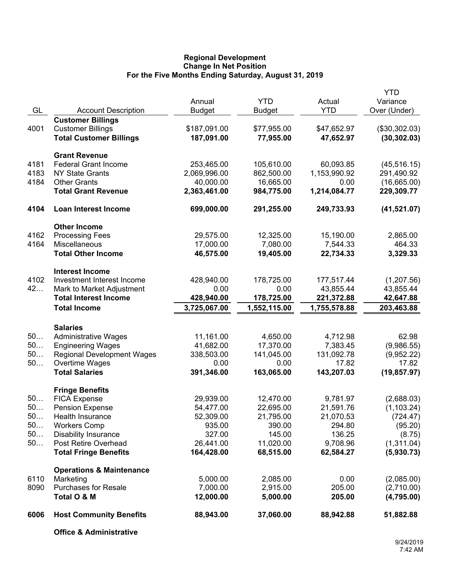## **Regional Development Change In Net Position For the Five Months Ending Saturday, August 31, 2019**

|      |                                     |               |              |              | <b>YTD</b>    |
|------|-------------------------------------|---------------|--------------|--------------|---------------|
|      |                                     | Annual        | <b>YTD</b>   | Actual       | Variance      |
| GL   | <b>Account Description</b>          | <b>Budget</b> | Budget       | <b>YTD</b>   | Over (Under)  |
|      | <b>Customer Billings</b>            |               |              |              |               |
| 4001 | <b>Customer Billings</b>            | \$187,091.00  | \$77,955.00  | \$47,652.97  | (\$30,302.03) |
|      | <b>Total Customer Billings</b>      | 187,091.00    | 77,955.00    | 47,652.97    | (30, 302.03)  |
|      | <b>Grant Revenue</b>                |               |              |              |               |
| 4181 | <b>Federal Grant Income</b>         | 253,465.00    | 105,610.00   | 60,093.85    | (45, 516.15)  |
| 4183 | <b>NY State Grants</b>              | 2,069,996.00  | 862,500.00   | 1,153,990.92 | 291,490.92    |
| 4184 | <b>Other Grants</b>                 | 40,000.00     | 16,665.00    | 0.00         | (16,665.00)   |
|      | <b>Total Grant Revenue</b>          | 2,363,461.00  | 984,775.00   | 1,214,084.77 | 229,309.77    |
| 4104 | Loan Interest Income                | 699,000.00    | 291,255.00   | 249,733.93   | (41, 521.07)  |
|      | <b>Other Income</b>                 |               |              |              |               |
| 4162 | <b>Processing Fees</b>              | 29,575.00     | 12,325.00    | 15,190.00    | 2,865.00      |
| 4164 | Miscellaneous                       | 17,000.00     | 7,080.00     | 7,544.33     | 464.33        |
|      | <b>Total Other Income</b>           | 46,575.00     | 19,405.00    | 22,734.33    | 3,329.33      |
|      | <b>Interest Income</b>              |               |              |              |               |
| 4102 | Investment Interest Income          | 428,940.00    | 178,725.00   | 177,517.44   | (1,207.56)    |
| 42   | Mark to Market Adjustment           | 0.00          | 0.00         | 43,855.44    | 43,855.44     |
|      | <b>Total Interest Income</b>        | 428,940.00    | 178,725.00   | 221,372.88   | 42,647.88     |
|      | <b>Total Income</b>                 | 3,725,067.00  | 1,552,115.00 | 1,755,578.88 | 203,463.88    |
|      | <b>Salaries</b>                     |               |              |              |               |
| 50   | <b>Administrative Wages</b>         | 11,161.00     | 4,650.00     | 4,712.98     | 62.98         |
| 50   | <b>Engineering Wages</b>            | 41,682.00     | 17,370.00    | 7,383.45     | (9,986.55)    |
| 50   | <b>Regional Development Wages</b>   | 338,503.00    | 141,045.00   | 131,092.78   | (9,952.22)    |
| 50   | Overtime Wages                      | 0.00          | 0.00         | 17.82        | 17.82         |
|      | <b>Total Salaries</b>               | 391,346.00    | 163,065.00   | 143,207.03   | (19, 857.97)  |
|      | <b>Fringe Benefits</b>              |               |              |              |               |
| 50   | <b>FICA Expense</b>                 | 29,939.00     | 12,470.00    | 9,781.97     | (2,688.03)    |
| 50   | <b>Pension Expense</b>              | 54,477.00     | 22,695.00    | 21,591.76    | (1, 103.24)   |
| 50.  | Health Insurance                    | 52,309.00     | 21,795.00    | 21,070.53    | (724.47)      |
| $50$ | <b>Workers Comp</b>                 | 935.00        | 390.00       | 294.80       | (95.20)       |
| 50   | <b>Disability Insurance</b>         | 327.00        | 145.00       | 136.25       | (8.75)        |
| 50   | Post Retire Overhead                | 26,441.00     | 11,020.00    | 9,708.96     | (1,311.04)    |
|      | <b>Total Fringe Benefits</b>        | 164,428.00    | 68,515.00    | 62,584.27    | (5,930.73)    |
|      | <b>Operations &amp; Maintenance</b> |               |              |              |               |
| 6110 | Marketing                           | 5,000.00      | 2,085.00     | 0.00         | (2,085.00)    |
| 8090 | <b>Purchases for Resale</b>         | 7,000.00      | 2,915.00     | 205.00       | (2,710.00)    |
|      | Total O & M                         | 12,000.00     | 5,000.00     | 205.00       | (4,795.00)    |
| 6006 | <b>Host Community Benefits</b>      | 88,943.00     | 37,060.00    | 88,942.88    | 51,882.88     |
|      | <b>Office &amp; Administrative</b>  |               |              |              |               |